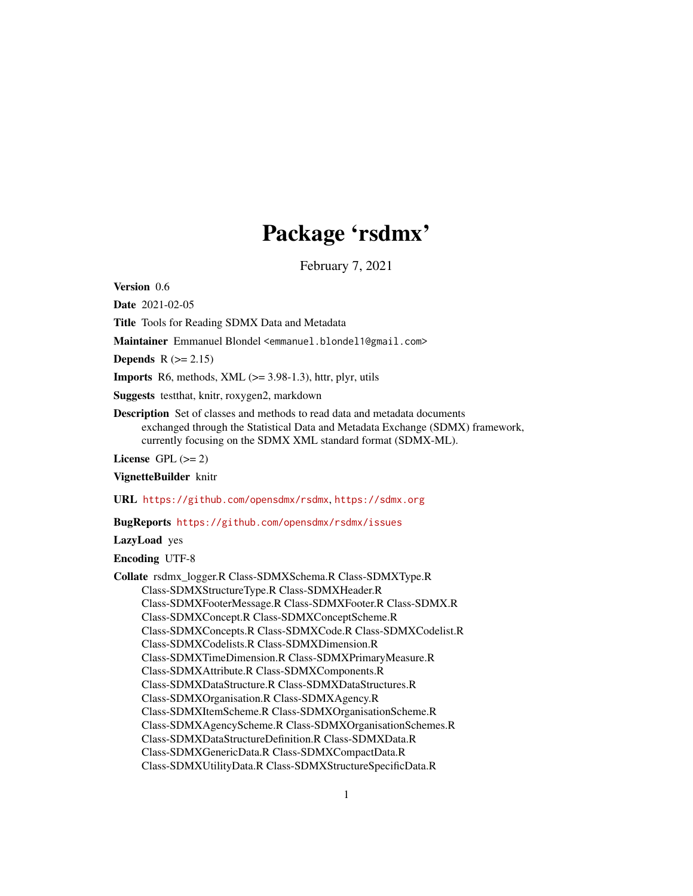# Package 'rsdmx'

February 7, 2021

<span id="page-0-0"></span>Version 0.6

Date 2021-02-05

Title Tools for Reading SDMX Data and Metadata

Maintainer Emmanuel Blondel <emmanuel.blondel1@gmail.com>

**Depends**  $R (= 2.15)$ 

**Imports** R6, methods, XML  $(>= 3.98-1.3)$ , httr, plyr, utils

Suggests testthat, knitr, roxygen2, markdown

Description Set of classes and methods to read data and metadata documents exchanged through the Statistical Data and Metadata Exchange (SDMX) framework, currently focusing on the SDMX XML standard format (SDMX-ML).

License GPL  $(>= 2)$ 

VignetteBuilder knitr

URL <https://github.com/opensdmx/rsdmx>, <https://sdmx.org>

BugReports <https://github.com/opensdmx/rsdmx/issues>

LazyLoad yes

Encoding UTF-8

Collate rsdmx\_logger.R Class-SDMXSchema.R Class-SDMXType.R Class-SDMXStructureType.R Class-SDMXHeader.R Class-SDMXFooterMessage.R Class-SDMXFooter.R Class-SDMX.R Class-SDMXConcept.R Class-SDMXConceptScheme.R Class-SDMXConcepts.R Class-SDMXCode.R Class-SDMXCodelist.R Class-SDMXCodelists.R Class-SDMXDimension.R Class-SDMXTimeDimension.R Class-SDMXPrimaryMeasure.R Class-SDMXAttribute.R Class-SDMXComponents.R Class-SDMXDataStructure.R Class-SDMXDataStructures.R Class-SDMXOrganisation.R Class-SDMXAgency.R Class-SDMXItemScheme.R Class-SDMXOrganisationScheme.R Class-SDMXAgencyScheme.R Class-SDMXOrganisationSchemes.R Class-SDMXDataStructureDefinition.R Class-SDMXData.R Class-SDMXGenericData.R Class-SDMXCompactData.R Class-SDMXUtilityData.R Class-SDMXStructureSpecificData.R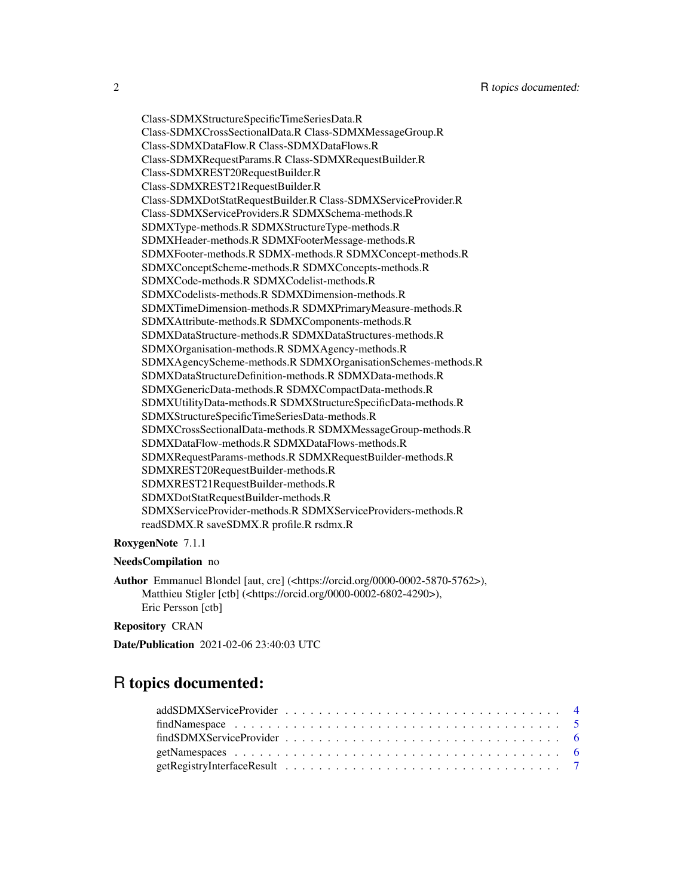Class-SDMXStructureSpecificTimeSeriesData.R Class-SDMXCrossSectionalData.R Class-SDMXMessageGroup.R Class-SDMXDataFlow.R Class-SDMXDataFlows.R Class-SDMXRequestParams.R Class-SDMXRequestBuilder.R Class-SDMXREST20RequestBuilder.R Class-SDMXREST21RequestBuilder.R Class-SDMXDotStatRequestBuilder.R Class-SDMXServiceProvider.R Class-SDMXServiceProviders.R SDMXSchema-methods.R SDMXType-methods.R SDMXStructureType-methods.R SDMXHeader-methods.R SDMXFooterMessage-methods.R SDMXFooter-methods.R SDMX-methods.R SDMXConcept-methods.R SDMXConceptScheme-methods.R SDMXConcepts-methods.R SDMXCode-methods.R SDMXCodelist-methods.R SDMXCodelists-methods.R SDMXDimension-methods.R SDMXTimeDimension-methods.R SDMXPrimaryMeasure-methods.R SDMXAttribute-methods.R SDMXComponents-methods.R SDMXDataStructure-methods.R SDMXDataStructures-methods.R SDMXOrganisation-methods.R SDMXAgency-methods.R SDMXAgencyScheme-methods.R SDMXOrganisationSchemes-methods.R SDMXDataStructureDefinition-methods.R SDMXData-methods.R SDMXGenericData-methods.R SDMXCompactData-methods.R SDMXUtilityData-methods.R SDMXStructureSpecificData-methods.R SDMXStructureSpecificTimeSeriesData-methods.R SDMXCrossSectionalData-methods.R SDMXMessageGroup-methods.R SDMXDataFlow-methods.R SDMXDataFlows-methods.R SDMXRequestParams-methods.R SDMXRequestBuilder-methods.R SDMXREST20RequestBuilder-methods.R SDMXREST21RequestBuilder-methods.R SDMXDotStatRequestBuilder-methods.R SDMXServiceProvider-methods.R SDMXServiceProviders-methods.R readSDMX.R saveSDMX.R profile.R rsdmx.R

#### RoxygenNote 7.1.1

#### NeedsCompilation no

Author Emmanuel Blondel [aut, cre] (<https://orcid.org/0000-0002-5870-5762>), Matthieu Stigler [ctb] (<https://orcid.org/0000-0002-6802-4290>), Eric Persson [ctb]

Repository CRAN

Date/Publication 2021-02-06 23:40:03 UTC

## R topics documented: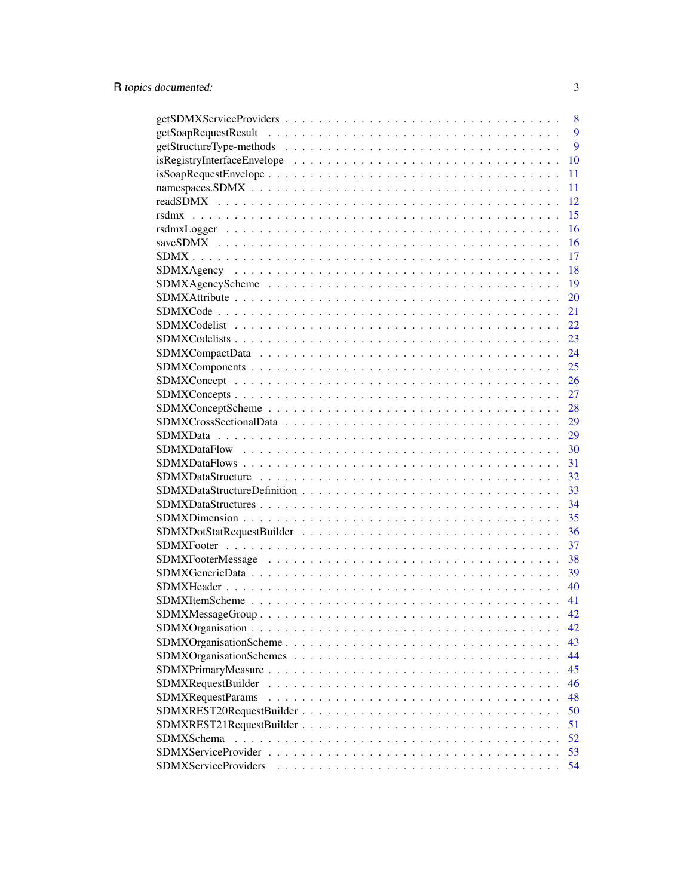|                             | 8  |
|-----------------------------|----|
|                             | 9  |
|                             | 9  |
|                             | 10 |
|                             | 11 |
|                             | 11 |
|                             | 12 |
|                             | 15 |
|                             | 16 |
|                             | 16 |
|                             | 17 |
|                             | 18 |
|                             | 19 |
|                             | 20 |
|                             | 21 |
|                             | 22 |
|                             | 23 |
|                             | 24 |
|                             | 25 |
|                             | 26 |
|                             | 27 |
|                             | 28 |
|                             | 29 |
|                             | 29 |
|                             | 30 |
|                             | 31 |
|                             | 32 |
|                             | 33 |
|                             | 34 |
|                             | 35 |
|                             | 36 |
|                             | 37 |
|                             | 38 |
|                             | 39 |
|                             | 40 |
|                             | 41 |
|                             | 42 |
|                             | 42 |
|                             | 43 |
|                             | 44 |
|                             | 45 |
| <b>SDMXRequestBuilder</b>   | 46 |
| SDMXRequestParams           | 48 |
| SDMXREST20RequestBuilder    | 50 |
|                             | 51 |
| <b>SDMXSchema</b>           | 52 |
|                             | 53 |
| <b>SDMXServiceProviders</b> | 54 |
|                             |    |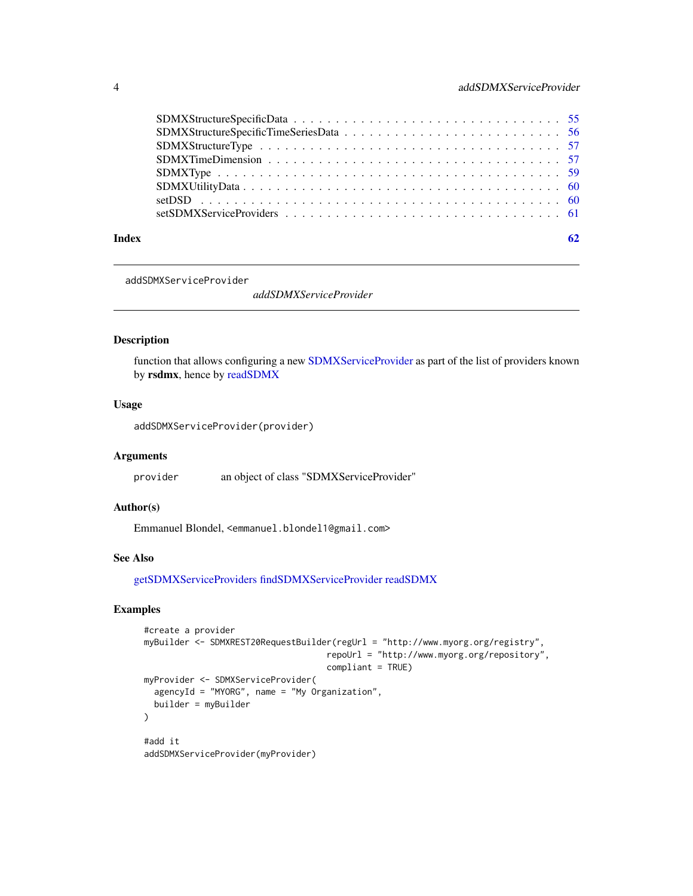<span id="page-3-0"></span>

| Index | 62 |
|-------|----|

<span id="page-3-1"></span>addSDMXServiceProvider

*addSDMXServiceProvider*

#### Description

function that allows configuring a new [SDMXServiceProvider](#page-52-1) as part of the list of providers known by rsdmx, hence by [readSDMX](#page-11-1)

### Usage

```
addSDMXServiceProvider(provider)
```
#### Arguments

provider an object of class "SDMXServiceProvider"

### Author(s)

Emmanuel Blondel, <emmanuel.blondel1@gmail.com>

#### See Also

[getSDMXServiceProviders](#page-7-1) [findSDMXServiceProvider](#page-5-1) [readSDMX](#page-11-1)

### Examples

```
#create a provider
myBuilder <- SDMXREST20RequestBuilder(regUrl = "http://www.myorg.org/registry",
                                    repoUrl = "http://www.myorg.org/repository",
                                    compliant = TRUE)
myProvider <- SDMXServiceProvider(
  agencyId = "MYORG", name = "My Organization",
 builder = myBuilder
)
#add it
addSDMXServiceProvider(myProvider)
```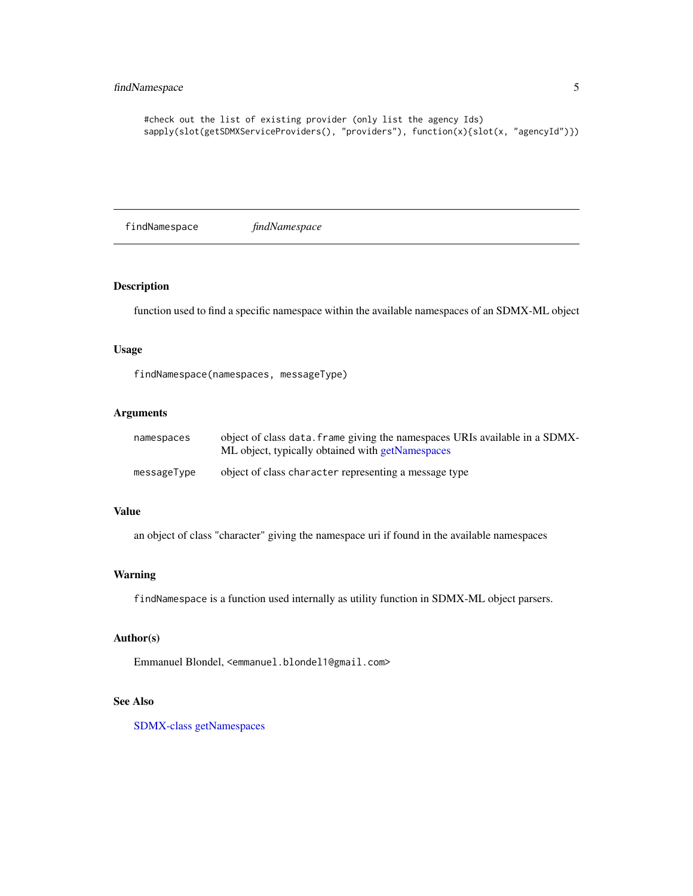### <span id="page-4-0"></span>findNamespace 5

```
#check out the list of existing provider (only list the agency Ids)
sapply(slot(getSDMXServiceProviders(), "providers"), function(x){slot(x, "agencyId")})
```
findNamespace *findNamespace*

### Description

function used to find a specific namespace within the available namespaces of an SDMX-ML object

### Usage

findNamespace(namespaces, messageType)

### Arguments

| namespaces  | object of class data. frame giving the namespaces URIs available in a SDMX-<br>ML object, typically obtained with getNamespaces |
|-------------|---------------------------------------------------------------------------------------------------------------------------------|
| messageType | object of class character representing a message type                                                                           |

#### Value

an object of class "character" giving the namespace uri if found in the available namespaces

#### Warning

findNamespace is a function used internally as utility function in SDMX-ML object parsers.

### Author(s)

Emmanuel Blondel, <emmanuel.blondel1@gmail.com>

### See Also

[SDMX-class](#page-16-1) [getNamespaces](#page-5-2)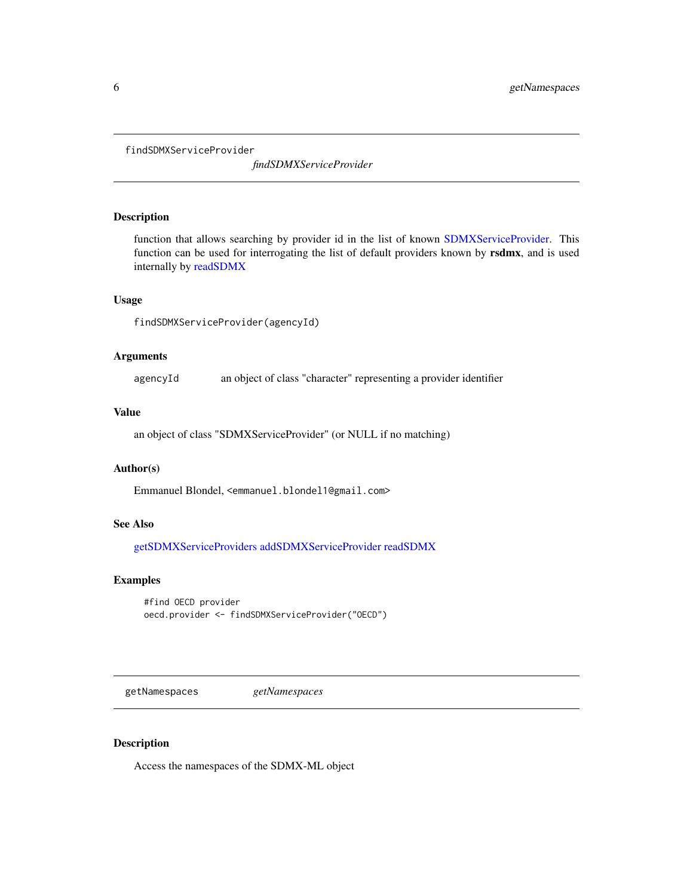<span id="page-5-1"></span><span id="page-5-0"></span>findSDMXServiceProvider

*findSDMXServiceProvider*

### Description

function that allows searching by provider id in the list of known [SDMXServiceProvider.](#page-52-1) This function can be used for interrogating the list of default providers known by rsdmx, and is used internally by [readSDMX](#page-11-1)

### Usage

findSDMXServiceProvider(agencyId)

### Arguments

agencyId an object of class "character" representing a provider identifier

#### Value

an object of class "SDMXServiceProvider" (or NULL if no matching)

#### Author(s)

Emmanuel Blondel, <emmanuel.blondel1@gmail.com>

### See Also

[getSDMXServiceProviders](#page-7-1) [addSDMXServiceProvider](#page-3-1) [readSDMX](#page-11-1)

### Examples

```
#find OECD provider
oecd.provider <- findSDMXServiceProvider("OECD")
```
<span id="page-5-2"></span>getNamespaces *getNamespaces*

### Description

Access the namespaces of the SDMX-ML object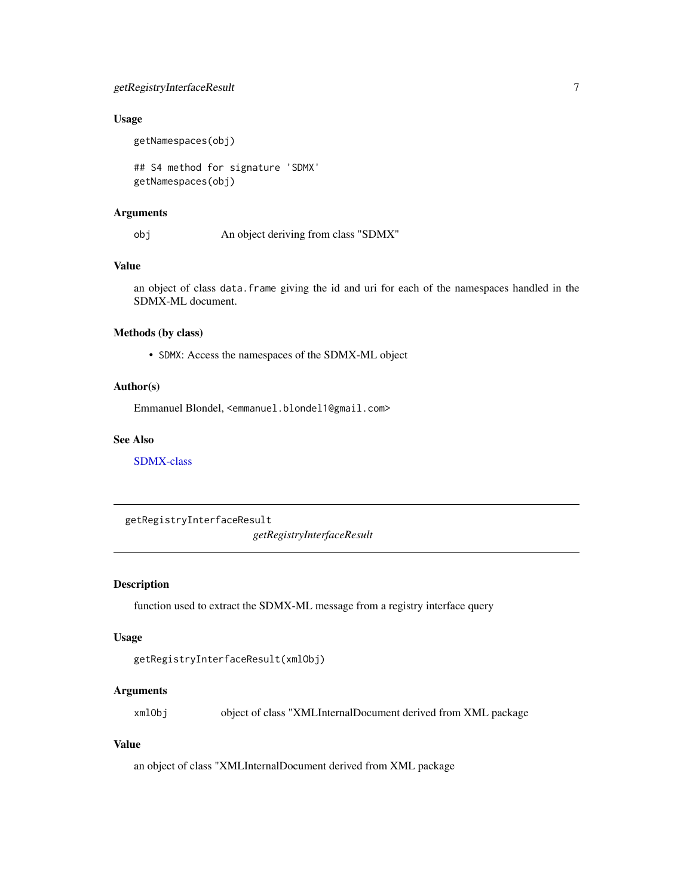### <span id="page-6-0"></span>getRegistryInterfaceResult 7

### Usage

getNamespaces(obj)

## S4 method for signature 'SDMX' getNamespaces(obj)

### Arguments

obj An object deriving from class "SDMX"

### Value

an object of class data.frame giving the id and uri for each of the namespaces handled in the SDMX-ML document.

### Methods (by class)

• SDMX: Access the namespaces of the SDMX-ML object

### Author(s)

Emmanuel Blondel, <emmanuel.blondel1@gmail.com>

### See Also

[SDMX-class](#page-16-1)

getRegistryInterfaceResult

*getRegistryInterfaceResult*

### Description

function used to extract the SDMX-ML message from a registry interface query

#### Usage

```
getRegistryInterfaceResult(xmlObj)
```
### Arguments

xmlObj object of class "XMLInternalDocument derived from XML package

### Value

an object of class "XMLInternalDocument derived from XML package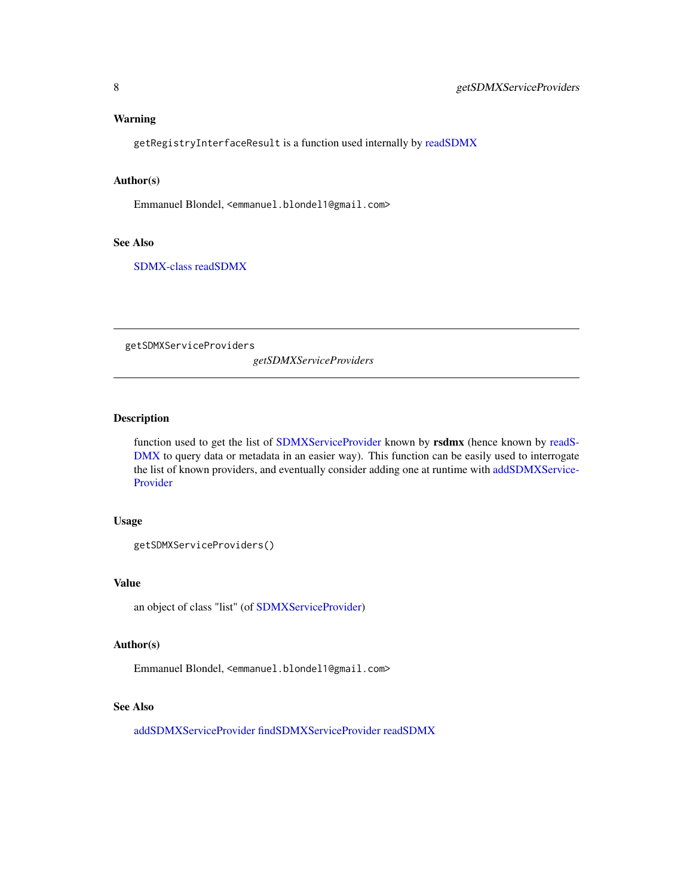#### <span id="page-7-0"></span>Warning

getRegistryInterfaceResult is a function used internally by [readSDMX](#page-11-1)

### Author(s)

Emmanuel Blondel, <emmanuel.blondel1@gmail.com>

#### See Also

[SDMX-class](#page-16-1) [readSDMX](#page-11-1)

<span id="page-7-1"></span>getSDMXServiceProviders

*getSDMXServiceProviders*

### Description

function used to get the list of [SDMXServiceProvider](#page-52-1) known by rsdmx (hence known by [readS-](#page-11-1)[DMX](#page-11-1) to query data or metadata in an easier way). This function can be easily used to interrogate the list of known providers, and eventually consider adding one at runtime with [addSDMXService-](#page-3-1)[Provider](#page-3-1)

#### Usage

```
getSDMXServiceProviders()
```
#### Value

an object of class "list" (of [SDMXServiceProvider\)](#page-52-1)

#### Author(s)

Emmanuel Blondel, <emmanuel.blondel1@gmail.com>

### See Also

[addSDMXServiceProvider](#page-3-1) [findSDMXServiceProvider](#page-5-1) [readSDMX](#page-11-1)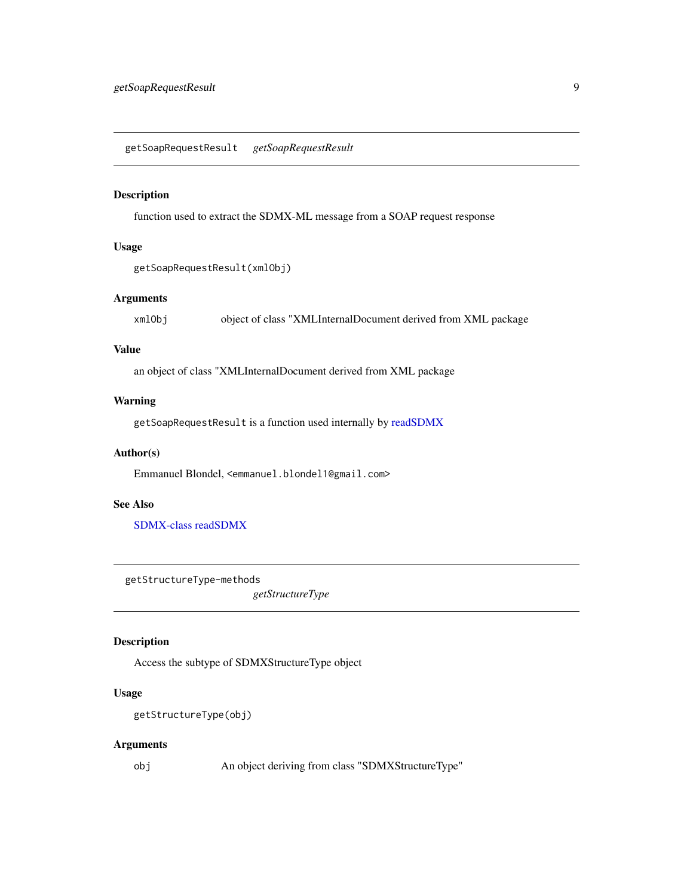<span id="page-8-0"></span>getSoapRequestResult *getSoapRequestResult*

### Description

function used to extract the SDMX-ML message from a SOAP request response

### Usage

getSoapRequestResult(xmlObj)

### Arguments

xmlObj object of class "XMLInternalDocument derived from XML package

### Value

an object of class "XMLInternalDocument derived from XML package

### Warning

getSoapRequestResult is a function used internally by [readSDMX](#page-11-1)

### Author(s)

Emmanuel Blondel, <emmanuel.blondel1@gmail.com>

#### See Also

[SDMX-class](#page-16-1) [readSDMX](#page-11-1)

getStructureType-methods

*getStructureType*

### Description

Access the subtype of SDMXStructureType object

### Usage

```
getStructureType(obj)
```
### Arguments

obj An object deriving from class "SDMXStructureType"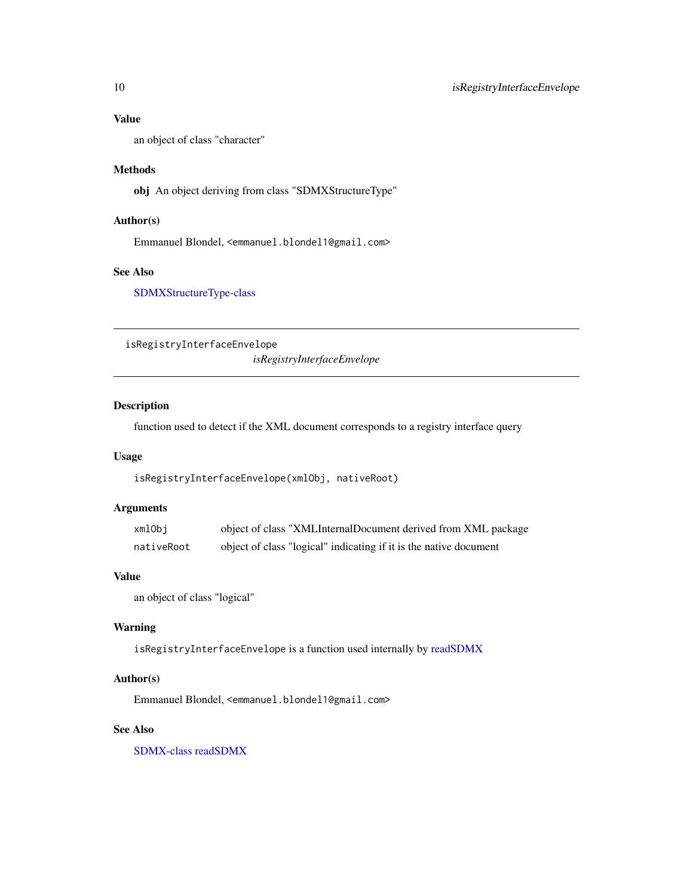### <span id="page-9-0"></span>Value

an object of class "character"

#### Methods

obj An object deriving from class "SDMXStructureType"

### Author(s)

Emmanuel Blondel, <emmanuel.blondel1@gmail.com>

### See Also

[SDMXStructureType-class](#page-56-1)

isRegistryInterfaceEnvelope *isRegistryInterfaceEnvelope*

### Description

function used to detect if the XML document corresponds to a registry interface query

#### Usage

isRegistryInterfaceEnvelope(xmlObj, nativeRoot)

### Arguments

| xmlObi     | object of class "XMLInternalDocument derived from XML package     |
|------------|-------------------------------------------------------------------|
| nativeRoot | object of class "logical" indicating if it is the native document |

#### Value

an object of class "logical"

### Warning

isRegistryInterfaceEnvelope is a function used internally by [readSDMX](#page-11-1)

### Author(s)

Emmanuel Blondel, <emmanuel.blondel1@gmail.com>

### See Also

[SDMX-class](#page-16-1) [readSDMX](#page-11-1)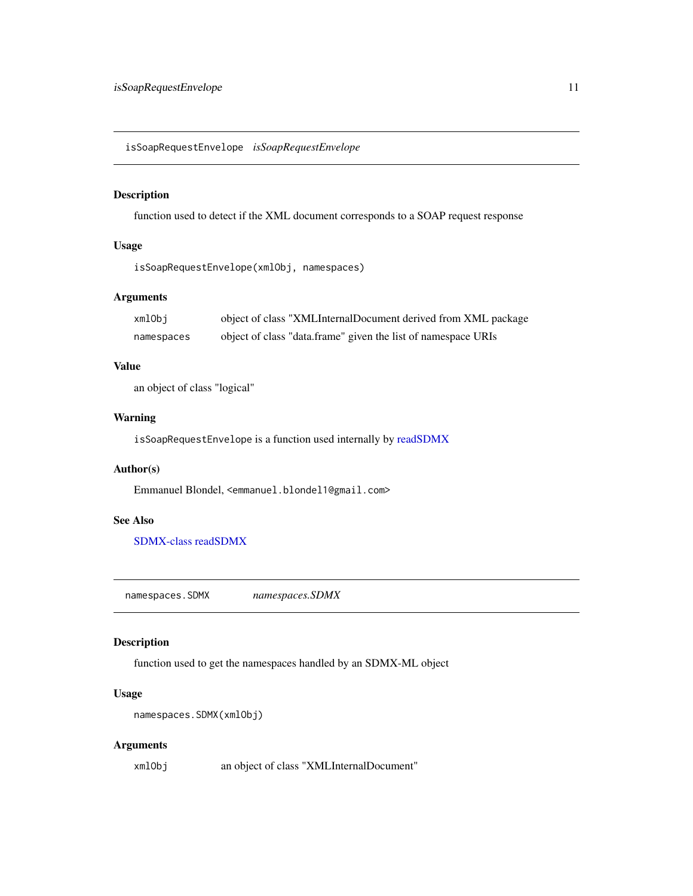<span id="page-10-0"></span>isSoapRequestEnvelope *isSoapRequestEnvelope*

### Description

function used to detect if the XML document corresponds to a SOAP request response

### Usage

isSoapRequestEnvelope(xmlObj, namespaces)

### Arguments

| xmlObi     | object of class "XMLInternalDocument derived from XML package |
|------------|---------------------------------------------------------------|
| namespaces | object of class "data.frame" given the list of namespace URIs |

### Value

an object of class "logical"

### Warning

isSoapRequestEnvelope is a function used internally by [readSDMX](#page-11-1)

### Author(s)

Emmanuel Blondel, <emmanuel.blondel1@gmail.com>

### See Also

[SDMX-class](#page-16-1) [readSDMX](#page-11-1)

namespaces.SDMX *namespaces.SDMX*

### Description

function used to get the namespaces handled by an SDMX-ML object

### Usage

```
namespaces.SDMX(xmlObj)
```
### Arguments

xmlObj an object of class "XMLInternalDocument"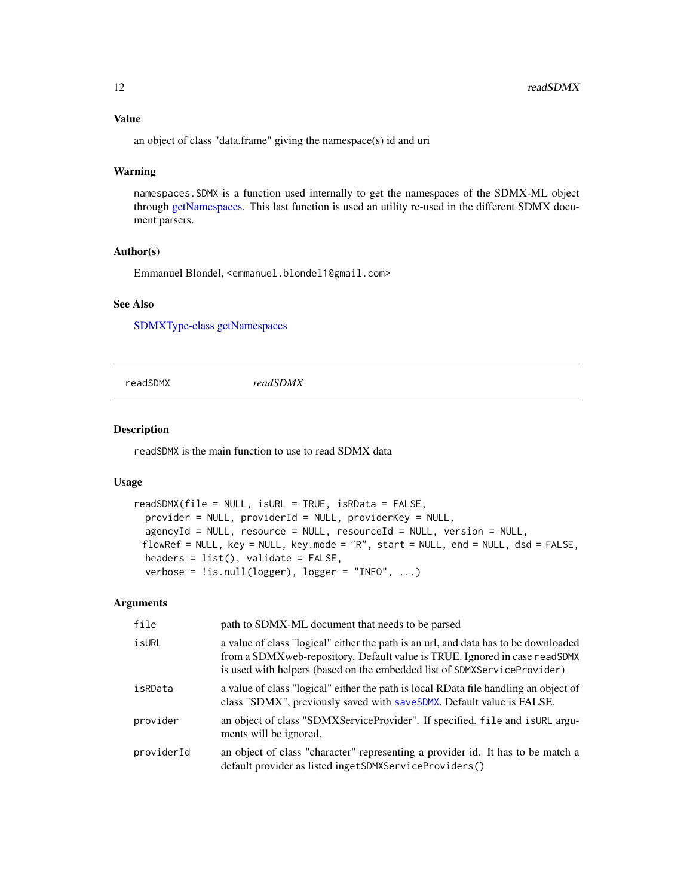### <span id="page-11-0"></span>Value

an object of class "data.frame" giving the namespace(s) id and uri

#### Warning

namespaces.SDMX is a function used internally to get the namespaces of the SDMX-ML object through [getNamespaces.](#page-5-2) This last function is used an utility re-used in the different SDMX document parsers.

### Author(s)

Emmanuel Blondel, <emmanuel.blondel1@gmail.com>

### See Also

[SDMXType-class](#page-58-1) [getNamespaces](#page-5-2)

<span id="page-11-1"></span>readSDMX *readSDMX*

### Description

readSDMX is the main function to use to read SDMX data

#### Usage

```
readSDMX(file = NULL, isURL = TRUE, isRData = FALSE,
 provider = NULL, providerId = NULL, providerKey = NULL,
  agencyId = NULL, resource = NULL, resourceId = NULL, version = NULL,
 flowRef = NULL, key = NULL, key.mode = "R", start = NULL, end = NULL, dsd = FALSE,
 headers = list(), validate = FALSE,
  verbose = !is.null(logger), logger = "INFO", ...)
```
### Arguments

| file       | path to SDMX-ML document that needs to be parsed                                                                                                                                                                                              |
|------------|-----------------------------------------------------------------------------------------------------------------------------------------------------------------------------------------------------------------------------------------------|
| isURL      | a value of class "logical" either the path is an url, and data has to be downloaded<br>from a SDMXweb-repository. Default value is TRUE. Ignored in case readSDMX<br>is used with helpers (based on the embedded list of SDMXServiceProvider) |
| isRData    | a value of class "logical" either the path is local RData file handling an object of<br>class "SDMX", previously saved with saveSDMX. Default value is FALSE.                                                                                 |
| provider   | an object of class "SDMXServiceProvider". If specified, file and is URL argu-<br>ments will be ignored.                                                                                                                                       |
| providerId | an object of class "character" representing a provider id. It has to be match a<br>default provider as listed ingetSDMXServiceProviders()                                                                                                     |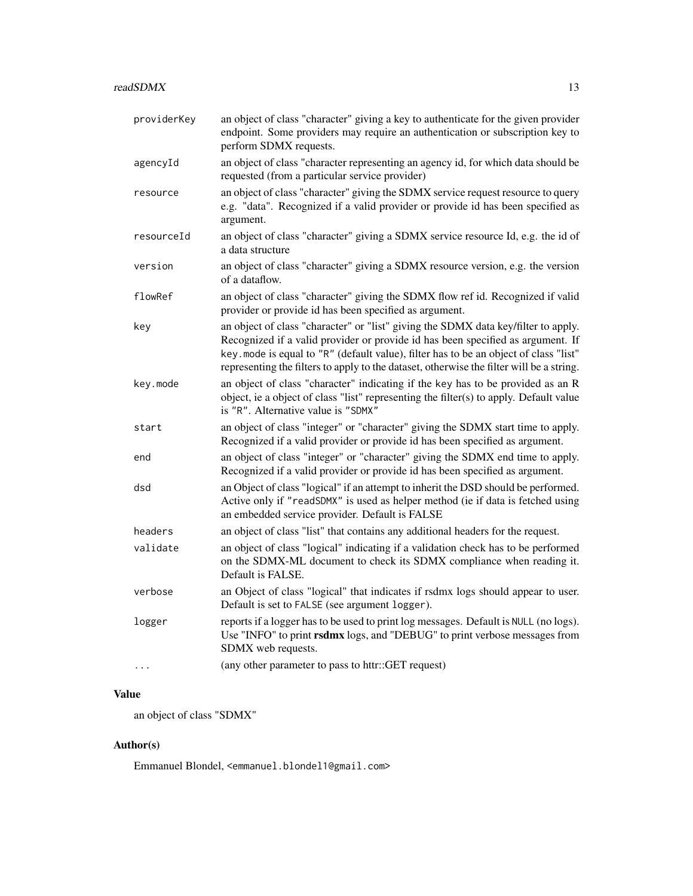| providerKey | an object of class "character" giving a key to authenticate for the given provider<br>endpoint. Some providers may require an authentication or subscription key to<br>perform SDMX requests.                                                                                                                                                              |
|-------------|------------------------------------------------------------------------------------------------------------------------------------------------------------------------------------------------------------------------------------------------------------------------------------------------------------------------------------------------------------|
| agencyId    | an object of class "character representing an agency id, for which data should be<br>requested (from a particular service provider)                                                                                                                                                                                                                        |
| resource    | an object of class "character" giving the SDMX service request resource to query<br>e.g. "data". Recognized if a valid provider or provide id has been specified as<br>argument.                                                                                                                                                                           |
| resourceId  | an object of class "character" giving a SDMX service resource Id, e.g. the id of<br>a data structure                                                                                                                                                                                                                                                       |
| version     | an object of class "character" giving a SDMX resource version, e.g. the version<br>of a dataflow.                                                                                                                                                                                                                                                          |
| flowRef     | an object of class "character" giving the SDMX flow ref id. Recognized if valid<br>provider or provide id has been specified as argument.                                                                                                                                                                                                                  |
| key         | an object of class "character" or "list" giving the SDMX data key/filter to apply.<br>Recognized if a valid provider or provide id has been specified as argument. If<br>key. mode is equal to "R" (default value), filter has to be an object of class "list"<br>representing the filters to apply to the dataset, otherwise the filter will be a string. |
| key.mode    | an object of class "character" indicating if the key has to be provided as an R<br>object, ie a object of class "list" representing the filter(s) to apply. Default value<br>is "R". Alternative value is "SDMX"                                                                                                                                           |
| start       | an object of class "integer" or "character" giving the SDMX start time to apply.<br>Recognized if a valid provider or provide id has been specified as argument.                                                                                                                                                                                           |
| end         | an object of class "integer" or "character" giving the SDMX end time to apply.<br>Recognized if a valid provider or provide id has been specified as argument.                                                                                                                                                                                             |
| dsd         | an Object of class "logical" if an attempt to inherit the DSD should be performed.<br>Active only if "readSDMX" is used as helper method (ie if data is fetched using<br>an embedded service provider. Default is FALSE                                                                                                                                    |
| headers     | an object of class "list" that contains any additional headers for the request.                                                                                                                                                                                                                                                                            |
| validate    | an object of class "logical" indicating if a validation check has to be performed<br>on the SDMX-ML document to check its SDMX compliance when reading it.<br>Default is FALSE.                                                                                                                                                                            |
| verbose     | an Object of class "logical" that indicates if rsdmx logs should appear to user.<br>Default is set to FALSE (see argument logger).                                                                                                                                                                                                                         |
| logger      | reports if a logger has to be used to print log messages. Default is NULL (no logs).<br>Use "INFO" to print rsdmx logs, and "DEBUG" to print verbose messages from<br>SDMX web requests.                                                                                                                                                                   |
| .           | (any other parameter to pass to httr::GET request)                                                                                                                                                                                                                                                                                                         |

### Value

an object of class "SDMX"

## Author(s)

Emmanuel Blondel, <emmanuel.blondel1@gmail.com>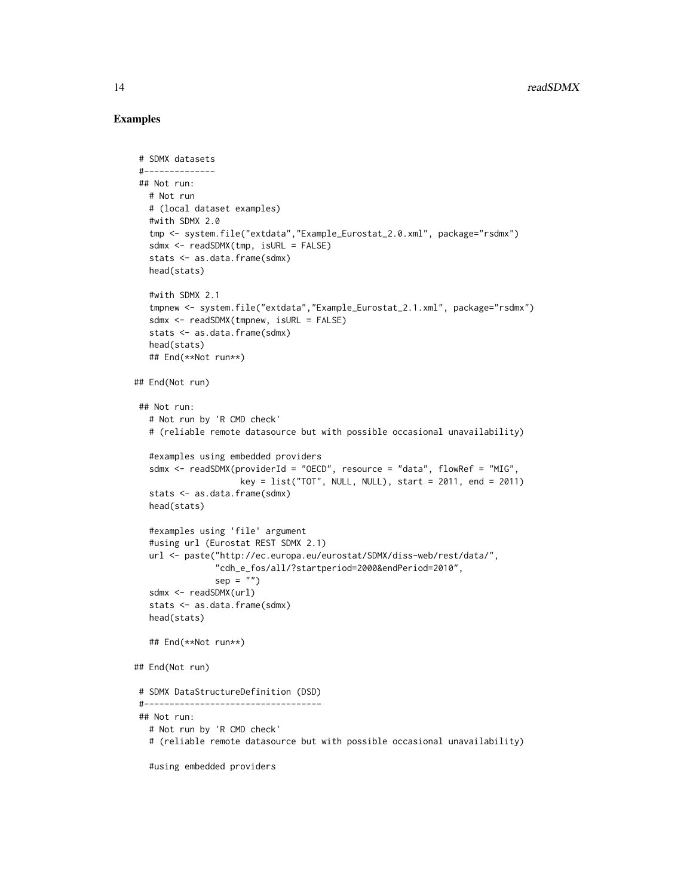#### Examples

```
# SDMX datasets
 #--------------
## Not run:
  # Not run
  # (local dataset examples)
  #with SDMX 2.0
  tmp <- system.file("extdata","Example_Eurostat_2.0.xml", package="rsdmx")
  sdmx <- readSDMX(tmp, isURL = FALSE)
  stats <- as.data.frame(sdmx)
  head(stats)
  #with SDMX 2.1
  tmpnew <- system.file("extdata","Example_Eurostat_2.1.xml", package="rsdmx")
  sdmx <- readSDMX(tmpnew, isURL = FALSE)
  stats <- as.data.frame(sdmx)
  head(stats)
  ## End(**Not run**)
## End(Not run)
 ## Not run:
  # Not run by 'R CMD check'
  # (reliable remote datasource but with possible occasional unavailability)
  #examples using embedded providers
  sdmx <- readSDMX(providerId = "OECD", resource = "data", flowRef = "MIG",
                     key = list("TOT", NULL, NULL), start = 2011, end = 2011)
  stats <- as.data.frame(sdmx)
  head(stats)
  #examples using 'file' argument
  #using url (Eurostat REST SDMX 2.1)
  url <- paste("http://ec.europa.eu/eurostat/SDMX/diss-web/rest/data/",
                "cdh_e_fos/all/?startperiod=2000&endPeriod=2010",
                sep = "")sdmx <- readSDMX(url)
  stats <- as.data.frame(sdmx)
  head(stats)
  ## End(**Not run**)
## End(Not run)
 # SDMX DataStructureDefinition (DSD)
 #-----------------------------------
## Not run:
  # Not run by 'R CMD check'
  # (reliable remote datasource but with possible occasional unavailability)
  #using embedded providers
```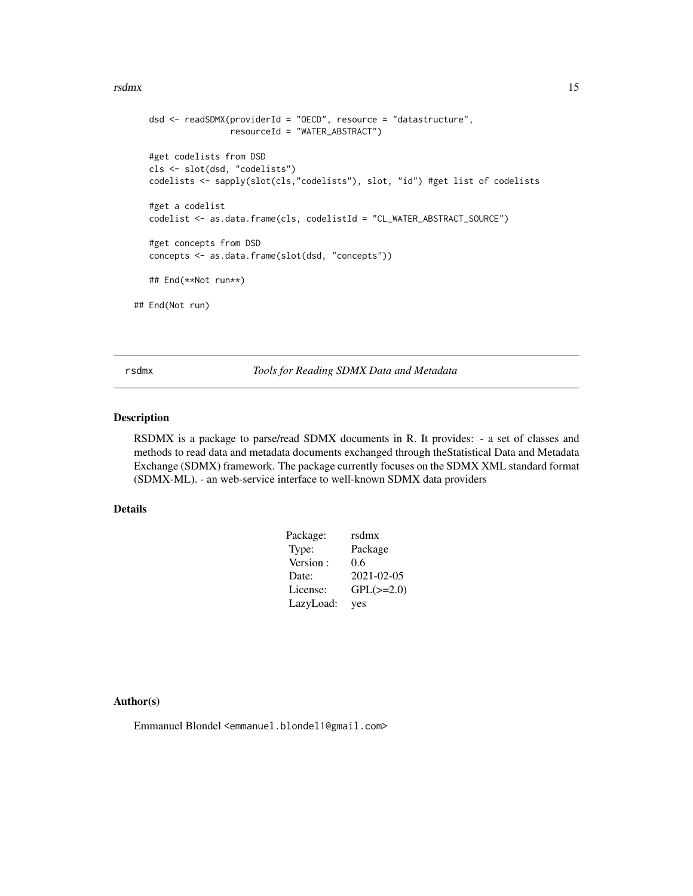#### <span id="page-14-0"></span>rsdmx and the contract of the contract of the contract of the contract of the contract of the contract of the contract of the contract of the contract of the contract of the contract of the contract of the contract of the

```
dsd <- readSDMX(providerId = "OECD", resource = "datastructure",
                  resourceId = "WATER_ABSTRACT")
  #get codelists from DSD
  cls <- slot(dsd, "codelists")
  codelists <- sapply(slot(cls,"codelists"), slot, "id") #get list of codelists
   #get a codelist
  codelist <- as.data.frame(cls, codelistId = "CL_WATER_ABSTRACT_SOURCE")
   #get concepts from DSD
  concepts <- as.data.frame(slot(dsd, "concepts"))
   ## End(**Not run**)
## End(Not run)
```
<span id="page-14-1"></span>rsdmx *Tools for Reading SDMX Data and Metadata*

### Description

RSDMX is a package to parse/read SDMX documents in R. It provides: - a set of classes and methods to read data and metadata documents exchanged through theStatistical Data and Metadata Exchange (SDMX) framework. The package currently focuses on the SDMX XML standard format (SDMX-ML). - an web-service interface to well-known SDMX data providers

### Details

| rsdmx          |
|----------------|
| Package        |
| 0.6            |
| 2021-02-05     |
| $GPL(\ge=2.0)$ |
| yes            |
|                |

#### Author(s)

Emmanuel Blondel <emmanuel.blondel1@gmail.com>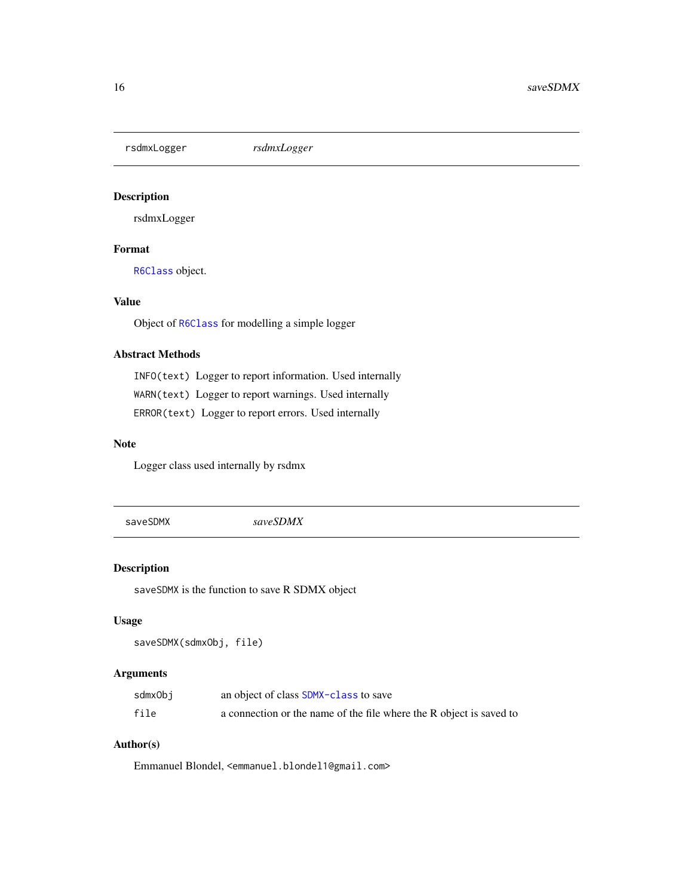<span id="page-15-0"></span>rsdmxLogger *rsdmxLogger*

### Description

rsdmxLogger

### Format

[R6Class](#page-0-0) object.

### Value

Object of [R6Class](#page-0-0) for modelling a simple logger

### Abstract Methods

INFO(text) Logger to report information. Used internally WARN(text) Logger to report warnings. Used internally ERROR(text) Logger to report errors. Used internally

### Note

Logger class used internally by rsdmx

<span id="page-15-1"></span>saveSDMX *saveSDMX*

### Description

saveSDMX is the function to save R SDMX object

#### Usage

```
saveSDMX(sdmxObj, file)
```
### Arguments

| sdmxObj | an object of class SDMX-class to save                               |
|---------|---------------------------------------------------------------------|
| file    | a connection or the name of the file where the R object is saved to |

### Author(s)

Emmanuel Blondel, <emmanuel.blondel1@gmail.com>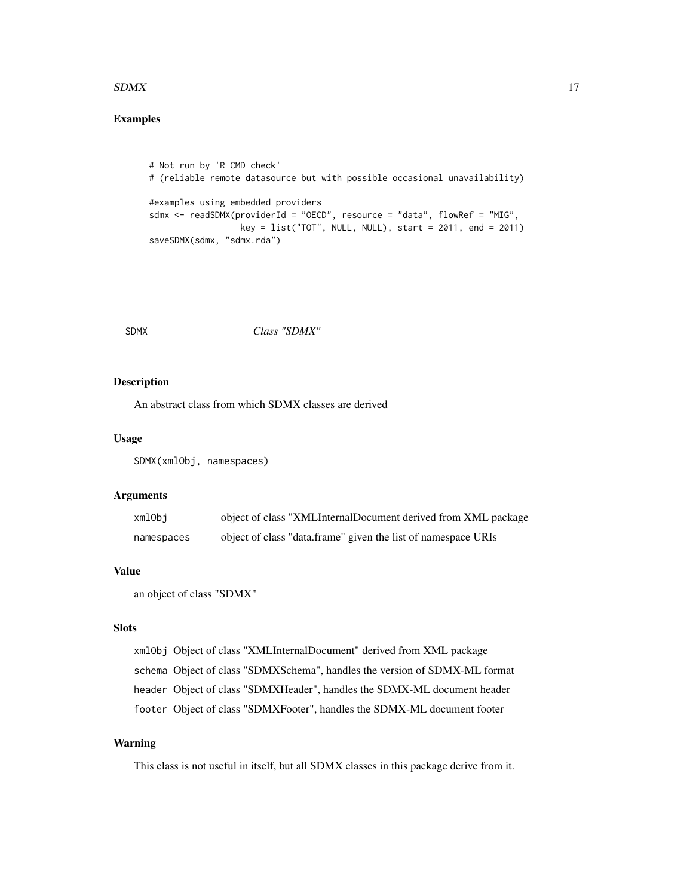#### <span id="page-16-0"></span> $SDMX$  17

### Examples

```
# Not run by 'R CMD check'
# (reliable remote datasource but with possible occasional unavailability)
#examples using embedded providers
sdmx <- readSDMX(providerId = "OECD", resource = "data", flowRef = "MIG",
                  key = list("TOT", NULL, NULL), start = 2011, end = 2011)
saveSDMX(sdmx, "sdmx.rda")
```
#### SDMX *Class "SDMX"*

#### <span id="page-16-1"></span>Description

An abstract class from which SDMX classes are derived

#### Usage

SDMX(xmlObj, namespaces)

#### Arguments

| xmlObi     | object of class "XMLInternalDocument derived from XML package |
|------------|---------------------------------------------------------------|
| namespaces | object of class "data.frame" given the list of namespace URIs |

### Value

an object of class "SDMX"

### Slots

```
xmlObj Object of class "XMLInternalDocument" derived from XML package
schema Object of class "SDMXSchema", handles the version of SDMX-ML format
header Object of class "SDMXHeader", handles the SDMX-ML document header
footer Object of class "SDMXFooter", handles the SDMX-ML document footer
```
### Warning

This class is not useful in itself, but all SDMX classes in this package derive from it.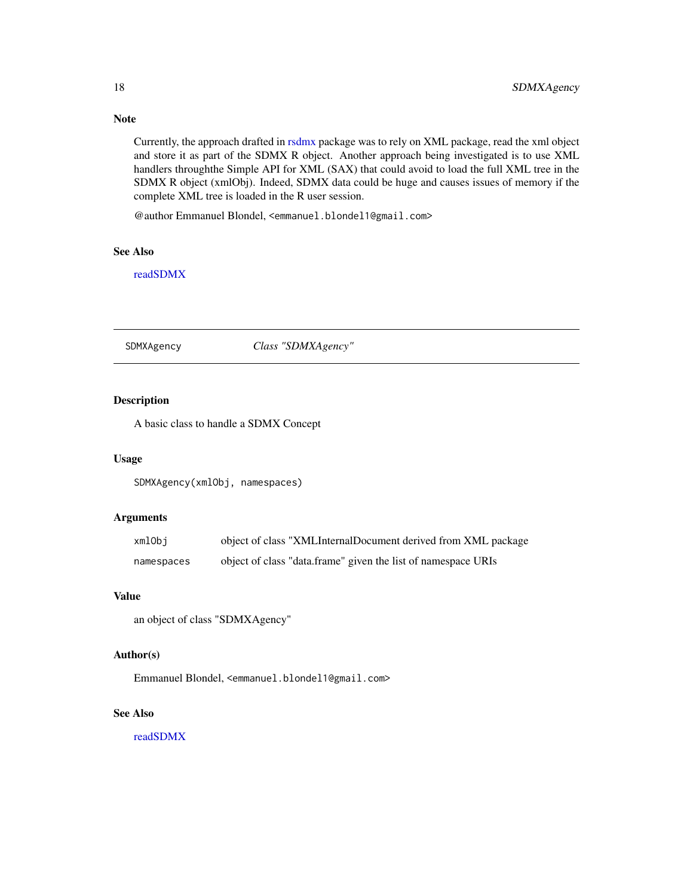Note

Currently, the approach drafted in [rsdmx](#page-14-1) package was to rely on XML package, read the xml object and store it as part of the SDMX R object. Another approach being investigated is to use XML handlers throughthe Simple API for XML (SAX) that could avoid to load the full XML tree in the SDMX R object (xmlObj). Indeed, SDMX data could be huge and causes issues of memory if the complete XML tree is loaded in the R user session.

@author Emmanuel Blondel, <emmanuel.blondel1@gmail.com>

#### See Also

[readSDMX](#page-11-1)

#### <span id="page-17-1"></span>SDMXAgency *Class "SDMXAgency"*

### Description

A basic class to handle a SDMX Concept

### Usage

SDMXAgency(xmlObj, namespaces)

### Arguments

| xmlObi     | object of class "XMLInternalDocument derived from XML package |
|------------|---------------------------------------------------------------|
| namespaces | object of class "data.frame" given the list of namespace URIs |

### Value

an object of class "SDMXAgency"

### Author(s)

Emmanuel Blondel, <emmanuel.blondel1@gmail.com>

#### See Also

<span id="page-17-0"></span>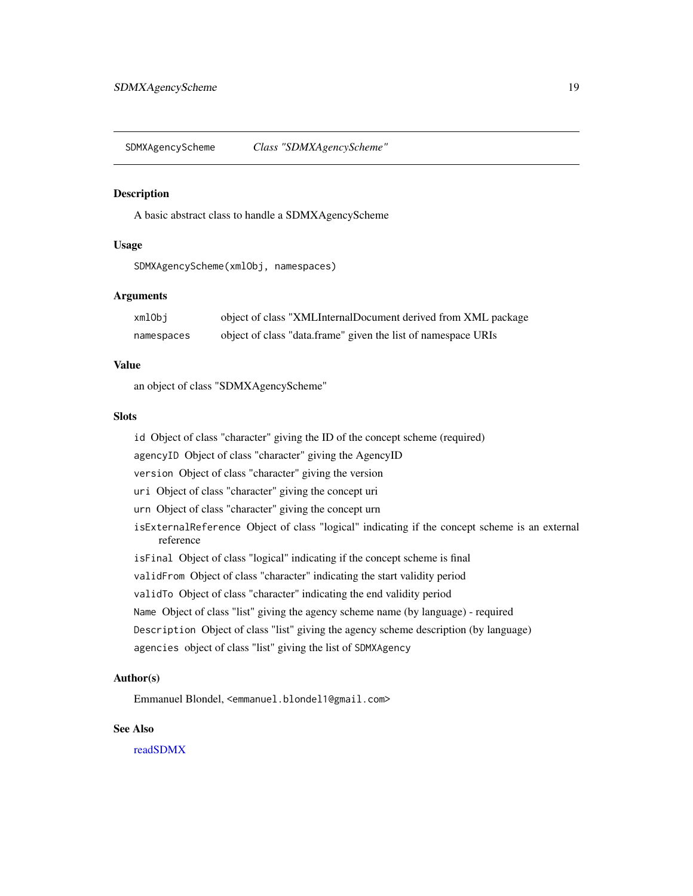<span id="page-18-1"></span><span id="page-18-0"></span>SDMXAgencyScheme *Class "SDMXAgencyScheme"*

#### **Description**

A basic abstract class to handle a SDMXAgencyScheme

#### Usage

SDMXAgencyScheme(xmlObj, namespaces)

### Arguments

| xmlObi     | object of class "XMLInternalDocument derived from XML package |
|------------|---------------------------------------------------------------|
| namespaces | object of class "data.frame" given the list of namespace URIs |

### Value

an object of class "SDMXAgencyScheme"

#### Slots

id Object of class "character" giving the ID of the concept scheme (required)

agencyID Object of class "character" giving the AgencyID

version Object of class "character" giving the version

uri Object of class "character" giving the concept uri

urn Object of class "character" giving the concept urn

- isExternalReference Object of class "logical" indicating if the concept scheme is an external reference
- isFinal Object of class "logical" indicating if the concept scheme is final

validFrom Object of class "character" indicating the start validity period

validTo Object of class "character" indicating the end validity period

Name Object of class "list" giving the agency scheme name (by language) - required

- Description Object of class "list" giving the agency scheme description (by language)
- agencies object of class "list" giving the list of SDMXAgency

### Author(s)

Emmanuel Blondel, <emmanuel.blondel1@gmail.com>

#### See Also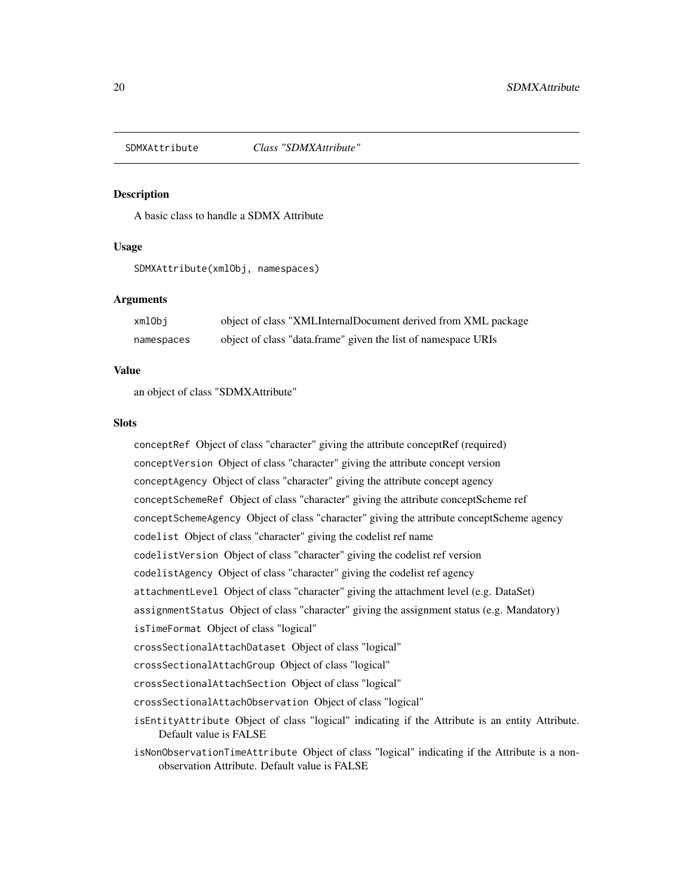<span id="page-19-1"></span><span id="page-19-0"></span>

#### Description

A basic class to handle a SDMX Attribute

### Usage

SDMXAttribute(xmlObj, namespaces)

### Arguments

| xmlObi     | object of class "XMLInternalDocument derived from XML package |
|------------|---------------------------------------------------------------|
| namespaces | object of class "data.frame" given the list of namespace URIs |

#### Value

an object of class "SDMXAttribute"

#### **Slots**

conceptRef Object of class "character" giving the attribute conceptRef (required) conceptVersion Object of class "character" giving the attribute concept version conceptAgency Object of class "character" giving the attribute concept agency conceptSchemeRef Object of class "character" giving the attribute conceptScheme ref conceptSchemeAgency Object of class "character" giving the attribute conceptScheme agency codelist Object of class "character" giving the codelist ref name codelistVersion Object of class "character" giving the codelist ref version codelistAgency Object of class "character" giving the codelist ref agency attachmentLevel Object of class "character" giving the attachment level (e.g. DataSet) assignmentStatus Object of class "character" giving the assignment status (e.g. Mandatory) isTimeFormat Object of class "logical" crossSectionalAttachDataset Object of class "logical" crossSectionalAttachGroup Object of class "logical" crossSectionalAttachSection Object of class "logical" crossSectionalAttachObservation Object of class "logical" isEntityAttribute Object of class "logical" indicating if the Attribute is an entity Attribute. Default value is FALSE

isNonObservationTimeAttribute Object of class "logical" indicating if the Attribute is a nonobservation Attribute. Default value is FALSE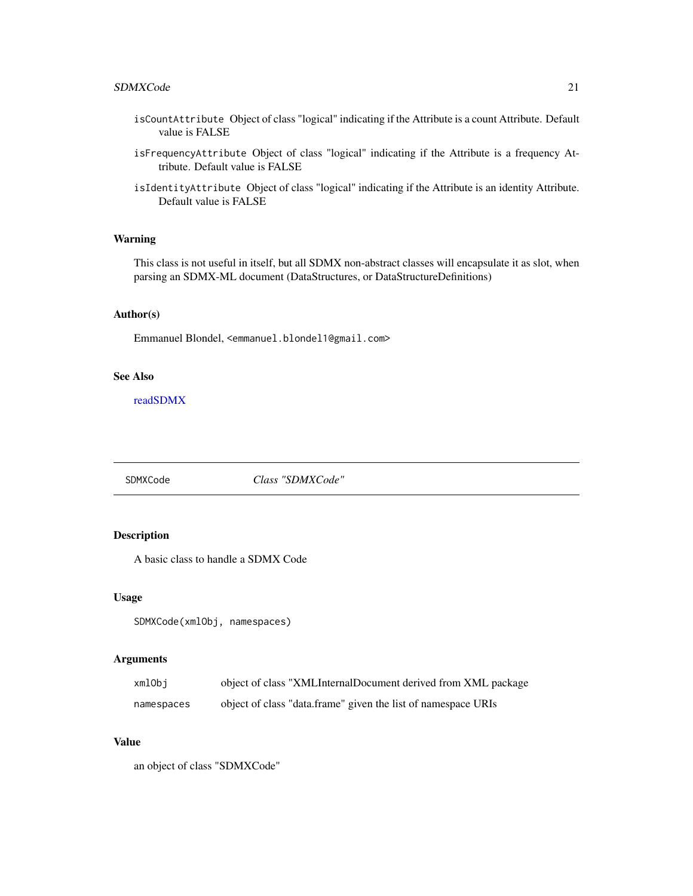#### <span id="page-20-0"></span>SDMXCode 21

- isCountAttribute Object of class "logical" indicating if the Attribute is a count Attribute. Default value is FALSE
- isFrequencyAttribute Object of class "logical" indicating if the Attribute is a frequency Attribute. Default value is FALSE
- isIdentityAttribute Object of class "logical" indicating if the Attribute is an identity Attribute. Default value is FALSE

#### Warning

This class is not useful in itself, but all SDMX non-abstract classes will encapsulate it as slot, when parsing an SDMX-ML document (DataStructures, or DataStructureDefinitions)

### Author(s)

Emmanuel Blondel, <emmanuel.blondel1@gmail.com>

#### See Also

[readSDMX](#page-11-1)

<span id="page-20-1"></span>SDMXCode *Class "SDMXCode"*

### Description

A basic class to handle a SDMX Code

#### Usage

```
SDMXCode(xmlObj, namespaces)
```
#### Arguments

| xmlObi     | object of class "XMLInternalDocument derived from XML package |
|------------|---------------------------------------------------------------|
| namespaces | object of class "data.frame" given the list of namespace URIs |

### Value

an object of class "SDMXCode"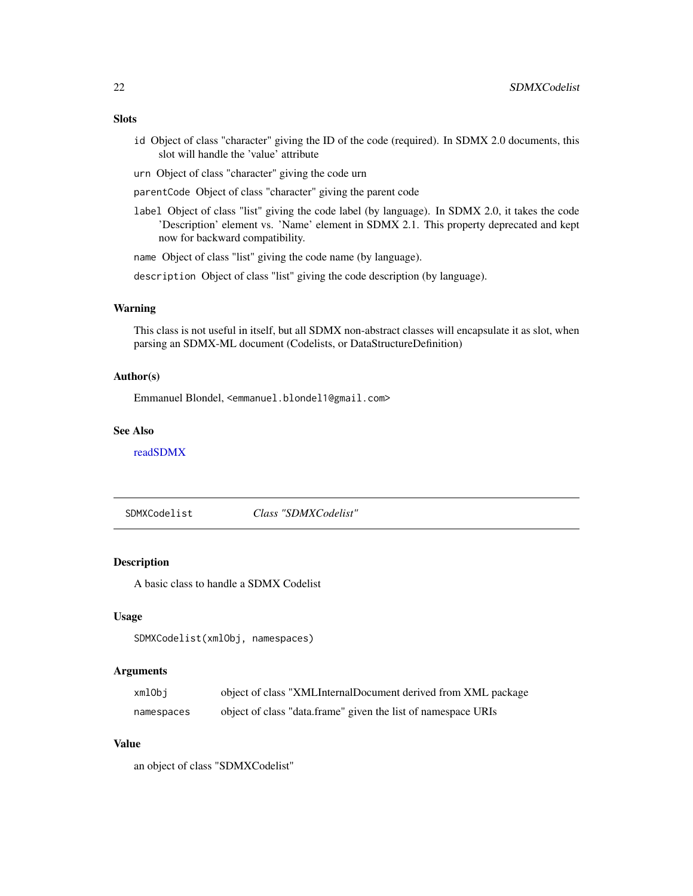### <span id="page-21-0"></span>Slots

- id Object of class "character" giving the ID of the code (required). In SDMX 2.0 documents, this slot will handle the 'value' attribute
- urn Object of class "character" giving the code urn
- parentCode Object of class "character" giving the parent code
- label Object of class "list" giving the code label (by language). In SDMX 2.0, it takes the code 'Description' element vs. 'Name' element in SDMX 2.1. This property deprecated and kept now for backward compatibility.

name Object of class "list" giving the code name (by language).

description Object of class "list" giving the code description (by language).

#### Warning

This class is not useful in itself, but all SDMX non-abstract classes will encapsulate it as slot, when parsing an SDMX-ML document (Codelists, or DataStructureDefinition)

#### Author(s)

Emmanuel Blondel, <emmanuel.blondel1@gmail.com>

#### See Also

[readSDMX](#page-11-1)

SDMXCodelist *Class "SDMXCodelist"*

### Description

A basic class to handle a SDMX Codelist

#### Usage

```
SDMXCodelist(xmlObj, namespaces)
```
#### Arguments

| xmlObi     | object of class "XMLInternalDocument derived from XML package |
|------------|---------------------------------------------------------------|
| namespaces | object of class "data.frame" given the list of namespace URIs |

#### Value

an object of class "SDMXCodelist"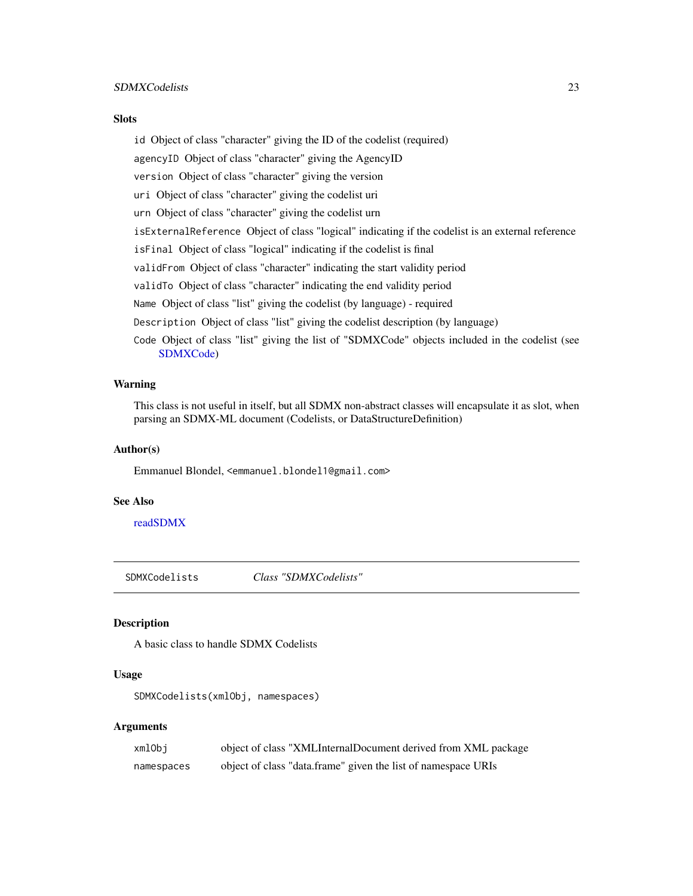#### <span id="page-22-0"></span>SDMXCodelists 23

#### **Slots**

id Object of class "character" giving the ID of the codelist (required) agencyID Object of class "character" giving the AgencyID version Object of class "character" giving the version uri Object of class "character" giving the codelist uri urn Object of class "character" giving the codelist urn isExternalReference Object of class "logical" indicating if the codelist is an external reference isFinal Object of class "logical" indicating if the codelist is final validFrom Object of class "character" indicating the start validity period validTo Object of class "character" indicating the end validity period Name Object of class "list" giving the codelist (by language) - required Description Object of class "list" giving the codelist description (by language) Code Object of class "list" giving the list of "SDMXCode" objects included in the codelist (see [SDMXCode\)](#page-20-1)

#### Warning

This class is not useful in itself, but all SDMX non-abstract classes will encapsulate it as slot, when parsing an SDMX-ML document (Codelists, or DataStructureDefinition)

#### Author(s)

Emmanuel Blondel, <emmanuel.blondel1@gmail.com>

#### See Also

[readSDMX](#page-11-1)

<span id="page-22-1"></span>SDMXCodelists *Class "SDMXCodelists"*

### Description

A basic class to handle SDMX Codelists

#### Usage

SDMXCodelists(xmlObj, namespaces)

### Arguments

| xmlObi     | object of class "XMLInternalDocument derived from XML package |
|------------|---------------------------------------------------------------|
| namespaces | object of class "data.frame" given the list of namespace URIs |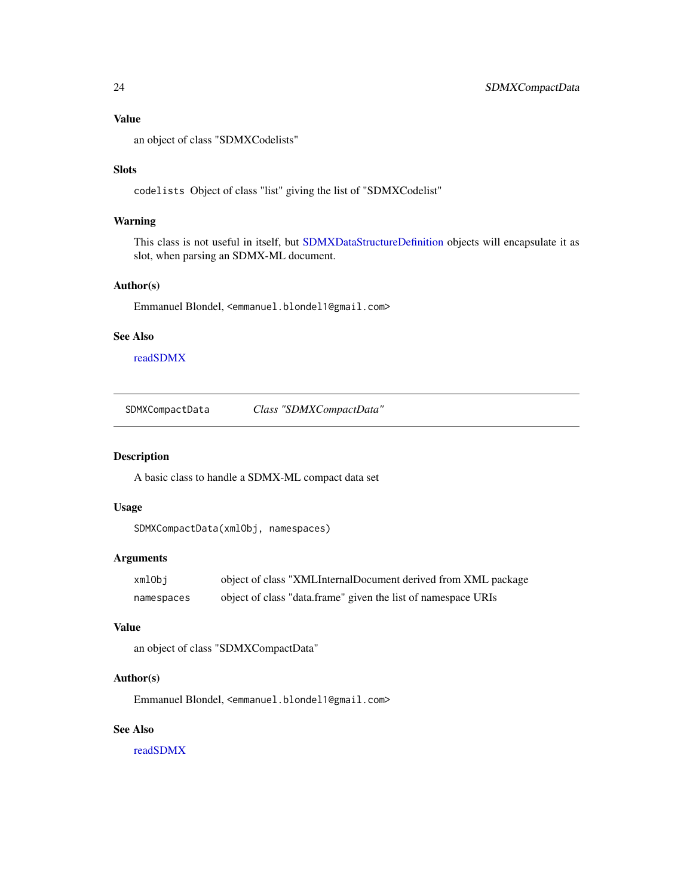### <span id="page-23-0"></span>Value

an object of class "SDMXCodelists"

#### Slots

codelists Object of class "list" giving the list of "SDMXCodelist"

### Warning

This class is not useful in itself, but [SDMXDataStructureDefinition](#page-32-1) objects will encapsulate it as slot, when parsing an SDMX-ML document.

### Author(s)

Emmanuel Blondel, <emmanuel.blondel1@gmail.com>

#### See Also

[readSDMX](#page-11-1)

SDMXCompactData *Class "SDMXCompactData"*

#### Description

A basic class to handle a SDMX-ML compact data set

### Usage

```
SDMXCompactData(xmlObj, namespaces)
```
#### Arguments

| xmlObi     | object of class "XMLInternalDocument derived from XML package |
|------------|---------------------------------------------------------------|
| namespaces | object of class "data.frame" given the list of namespace URIs |

### Value

```
an object of class "SDMXCompactData"
```
### Author(s)

Emmanuel Blondel, <emmanuel.blondel1@gmail.com>

#### See Also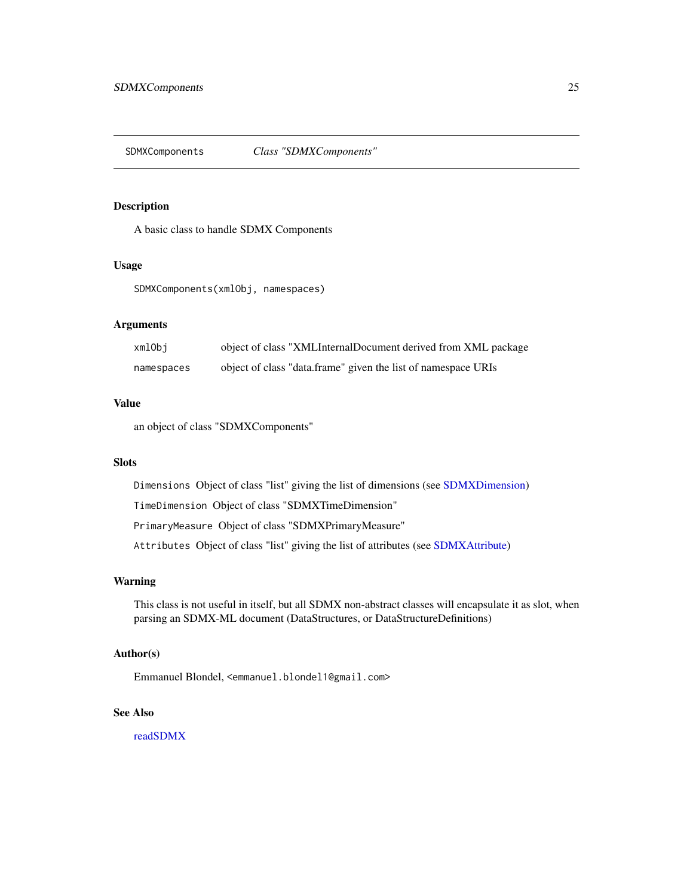<span id="page-24-1"></span><span id="page-24-0"></span>SDMXComponents *Class "SDMXComponents"*

### Description

A basic class to handle SDMX Components

#### Usage

SDMXComponents(xmlObj, namespaces)

### Arguments

| xmlObi     | object of class "XMLInternalDocument derived from XML package |
|------------|---------------------------------------------------------------|
| namespaces | object of class "data.frame" given the list of namespace URIs |

#### Value

an object of class "SDMXComponents"

### Slots

Dimensions Object of class "list" giving the list of dimensions (see [SDMXDimension\)](#page-34-1)

TimeDimension Object of class "SDMXTimeDimension"

PrimaryMeasure Object of class "SDMXPrimaryMeasure"

Attributes Object of class "list" giving the list of attributes (see [SDMXAttribute\)](#page-19-1)

### Warning

This class is not useful in itself, but all SDMX non-abstract classes will encapsulate it as slot, when parsing an SDMX-ML document (DataStructures, or DataStructureDefinitions)

### Author(s)

Emmanuel Blondel, <emmanuel.blondel1@gmail.com>

#### See Also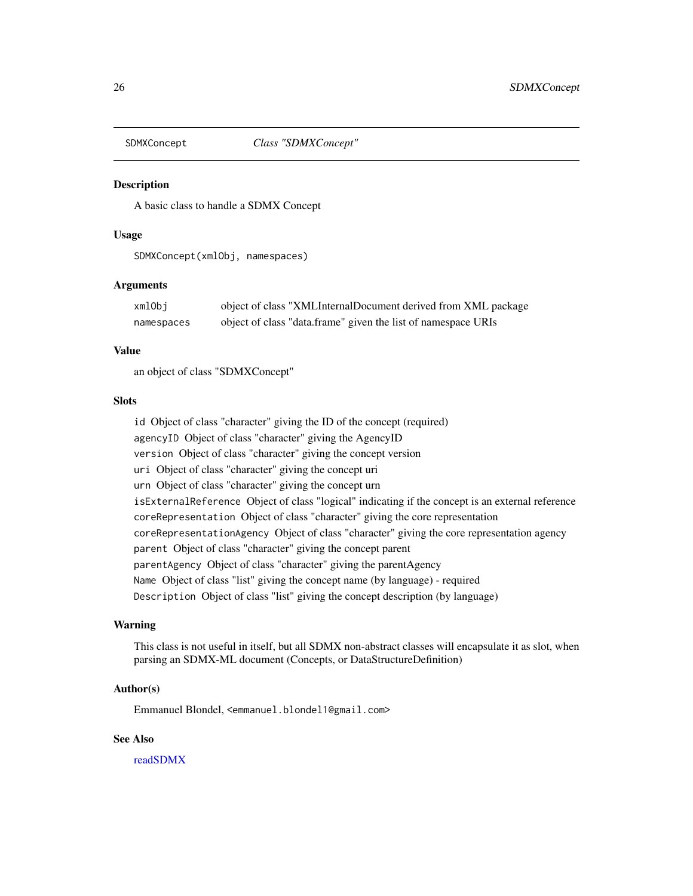<span id="page-25-1"></span><span id="page-25-0"></span>

#### **Description**

A basic class to handle a SDMX Concept

### Usage

SDMXConcept(xmlObj, namespaces)

#### Arguments

| xmlObj     | object of class "XMLInternalDocument derived from XML package |
|------------|---------------------------------------------------------------|
| namespaces | object of class "data.frame" given the list of namespace URIs |

#### Value

an object of class "SDMXConcept"

### Slots

id Object of class "character" giving the ID of the concept (required) agencyID Object of class "character" giving the AgencyID version Object of class "character" giving the concept version uri Object of class "character" giving the concept uri urn Object of class "character" giving the concept urn isExternalReference Object of class "logical" indicating if the concept is an external reference coreRepresentation Object of class "character" giving the core representation coreRepresentationAgency Object of class "character" giving the core representation agency parent Object of class "character" giving the concept parent parentAgency Object of class "character" giving the parentAgency Name Object of class "list" giving the concept name (by language) - required Description Object of class "list" giving the concept description (by language)

#### Warning

This class is not useful in itself, but all SDMX non-abstract classes will encapsulate it as slot, when parsing an SDMX-ML document (Concepts, or DataStructureDefinition)

#### Author(s)

Emmanuel Blondel, <emmanuel.blondel1@gmail.com>

#### See Also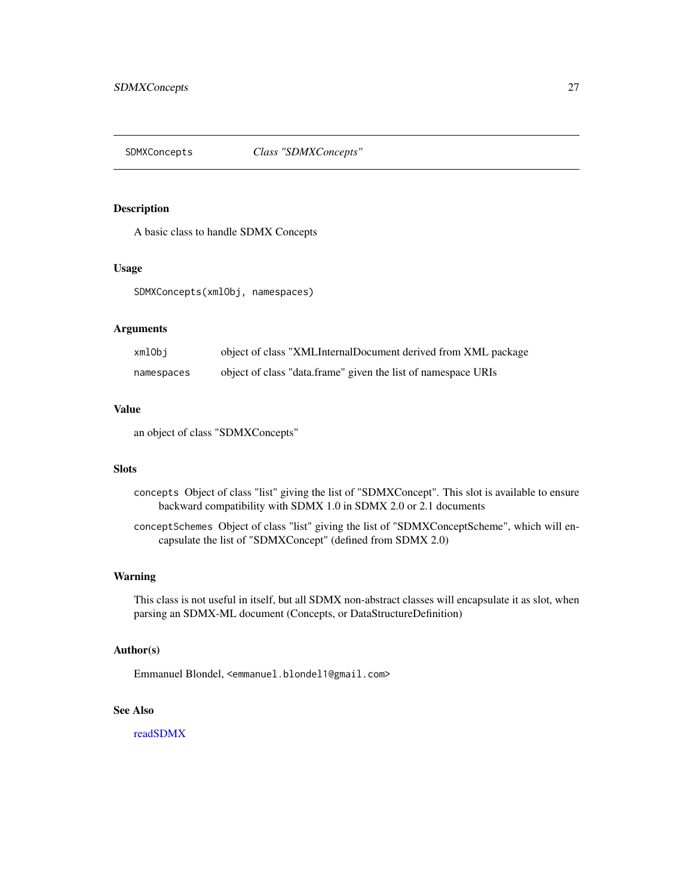<span id="page-26-1"></span><span id="page-26-0"></span>

### Description

A basic class to handle SDMX Concepts

#### Usage

SDMXConcepts(xmlObj, namespaces)

### Arguments

| xmlObi     | object of class "XMLInternalDocument derived from XML package |
|------------|---------------------------------------------------------------|
| namespaces | object of class "data.frame" given the list of namespace URIs |

#### Value

an object of class "SDMXConcepts"

#### **Slots**

- concepts Object of class "list" giving the list of "SDMXConcept". This slot is available to ensure backward compatibility with SDMX 1.0 in SDMX 2.0 or 2.1 documents
- conceptSchemes Object of class "list" giving the list of "SDMXConceptScheme", which will encapsulate the list of "SDMXConcept" (defined from SDMX 2.0)

#### Warning

This class is not useful in itself, but all SDMX non-abstract classes will encapsulate it as slot, when parsing an SDMX-ML document (Concepts, or DataStructureDefinition)

#### Author(s)

Emmanuel Blondel, <emmanuel.blondel1@gmail.com>

### See Also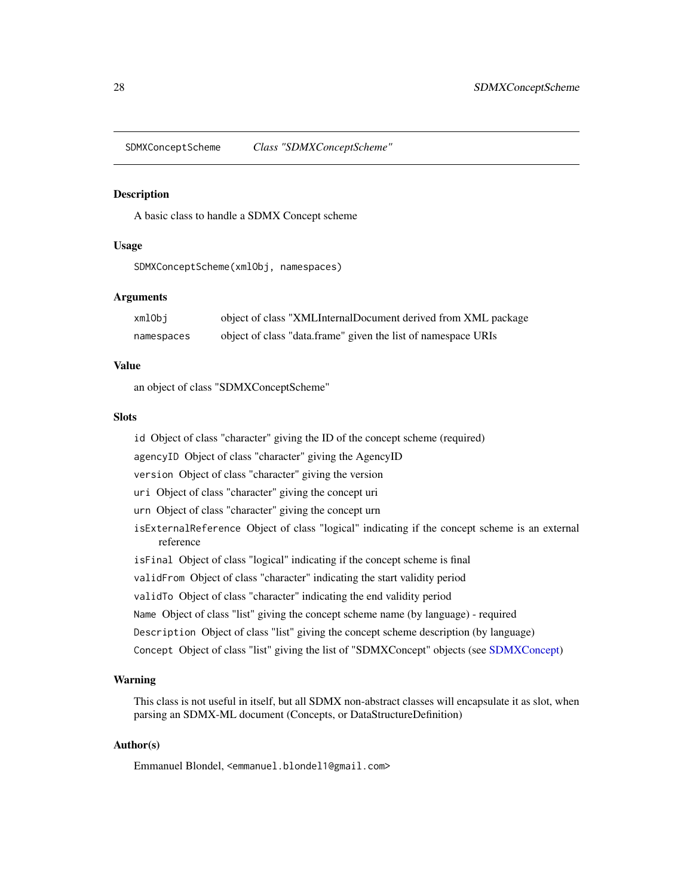<span id="page-27-0"></span>SDMXConceptScheme *Class "SDMXConceptScheme"*

#### Description

A basic class to handle a SDMX Concept scheme

### Usage

SDMXConceptScheme(xmlObj, namespaces)

#### Arguments

| xmlObi     | object of class "XMLInternalDocument derived from XML package |
|------------|---------------------------------------------------------------|
| namespaces | object of class "data.frame" given the list of namespace URIs |

### Value

an object of class "SDMXConceptScheme"

#### Slots

id Object of class "character" giving the ID of the concept scheme (required)

agencyID Object of class "character" giving the AgencyID

version Object of class "character" giving the version

uri Object of class "character" giving the concept uri

- urn Object of class "character" giving the concept urn
- isExternalReference Object of class "logical" indicating if the concept scheme is an external reference
- isFinal Object of class "logical" indicating if the concept scheme is final
- validFrom Object of class "character" indicating the start validity period
- validTo Object of class "character" indicating the end validity period
- Name Object of class "list" giving the concept scheme name (by language) required
- Description Object of class "list" giving the concept scheme description (by language)
- Concept Object of class "list" giving the list of "SDMXConcept" objects (see [SDMXConcept\)](#page-25-1)

#### Warning

This class is not useful in itself, but all SDMX non-abstract classes will encapsulate it as slot, when parsing an SDMX-ML document (Concepts, or DataStructureDefinition)

### Author(s)

Emmanuel Blondel, <emmanuel.blondel1@gmail.com>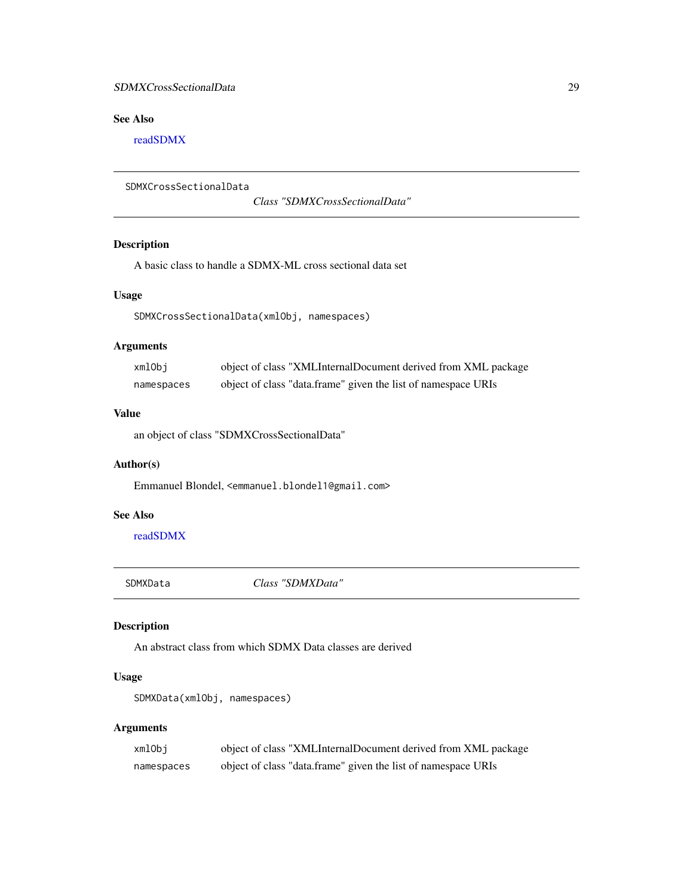### <span id="page-28-0"></span>SDMXCrossSectionalData 29

### See Also

[readSDMX](#page-11-1)

```
SDMXCrossSectionalData
```
*Class "SDMXCrossSectionalData"*

### Description

A basic class to handle a SDMX-ML cross sectional data set

### Usage

SDMXCrossSectionalData(xmlObj, namespaces)

### Arguments

| xmlObi     | object of class "XMLInternalDocument derived from XML package |
|------------|---------------------------------------------------------------|
| namespaces | object of class "data.frame" given the list of namespace URIs |

### Value

an object of class "SDMXCrossSectionalData"

### Author(s)

Emmanuel Blondel, <emmanuel.blondel1@gmail.com>

### See Also

[readSDMX](#page-11-1)

SDMXData *Class "SDMXData"*

### <span id="page-28-1"></span>Description

An abstract class from which SDMX Data classes are derived

### Usage

SDMXData(xmlObj, namespaces)

### Arguments

| xmlObi     | object of class "XMLInternalDocument derived from XML package |
|------------|---------------------------------------------------------------|
| namespaces | object of class "data.frame" given the list of namespace URIs |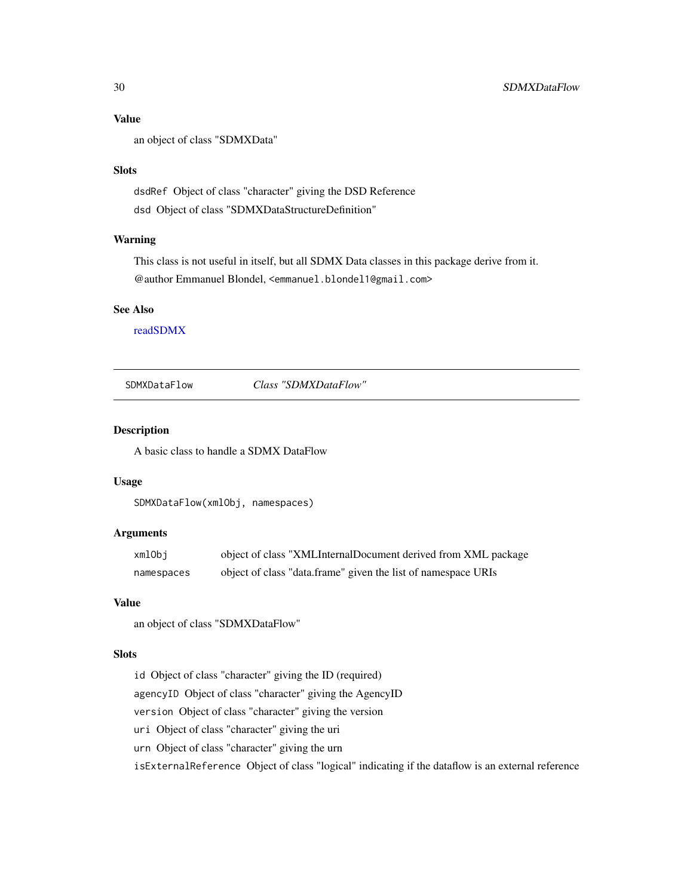### <span id="page-29-0"></span>Value

an object of class "SDMXData"

#### Slots

dsdRef Object of class "character" giving the DSD Reference dsd Object of class "SDMXDataStructureDefinition"

#### Warning

This class is not useful in itself, but all SDMX Data classes in this package derive from it. @author Emmanuel Blondel, <emmanuel.blondel1@gmail.com>

#### See Also

[readSDMX](#page-11-1)

<span id="page-29-1"></span>SDMXDataFlow *Class "SDMXDataFlow"*

### Description

A basic class to handle a SDMX DataFlow

#### Usage

```
SDMXDataFlow(xmlObj, namespaces)
```
### Arguments

| xmlObj     | object of class "XMLInternalDocument derived from XML package |
|------------|---------------------------------------------------------------|
| namespaces | object of class "data.frame" given the list of namespace URIs |

#### Value

an object of class "SDMXDataFlow"

#### Slots

id Object of class "character" giving the ID (required) agencyID Object of class "character" giving the AgencyID version Object of class "character" giving the version uri Object of class "character" giving the uri urn Object of class "character" giving the urn isExternalReference Object of class "logical" indicating if the dataflow is an external reference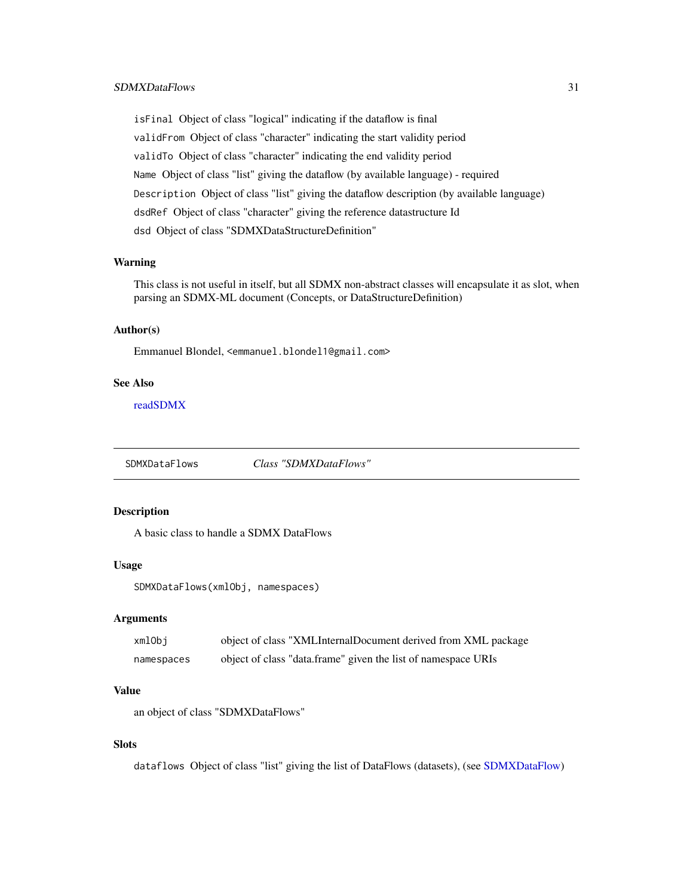### <span id="page-30-0"></span>SDMXDataFlows 31

isFinal Object of class "logical" indicating if the dataflow is final validFrom Object of class "character" indicating the start validity period validTo Object of class "character" indicating the end validity period Name Object of class "list" giving the dataflow (by available language) - required Description Object of class "list" giving the dataflow description (by available language) dsdRef Object of class "character" giving the reference datastructure Id dsd Object of class "SDMXDataStructureDefinition"

#### Warning

This class is not useful in itself, but all SDMX non-abstract classes will encapsulate it as slot, when parsing an SDMX-ML document (Concepts, or DataStructureDefinition)

### Author(s)

Emmanuel Blondel, <emmanuel.blondel1@gmail.com>

#### See Also

[readSDMX](#page-11-1)

SDMXDataFlows *Class "SDMXDataFlows"*

### Description

A basic class to handle a SDMX DataFlows

#### Usage

SDMXDataFlows(xmlObj, namespaces)

#### **Arguments**

| xmlObi     | object of class "XMLInternalDocument derived from XML package |
|------------|---------------------------------------------------------------|
| namespaces | object of class "data.frame" given the list of namespace URIs |

### Value

an object of class "SDMXDataFlows"

### **Slots**

dataflows Object of class "list" giving the list of DataFlows (datasets), (see [SDMXDataFlow\)](#page-29-1)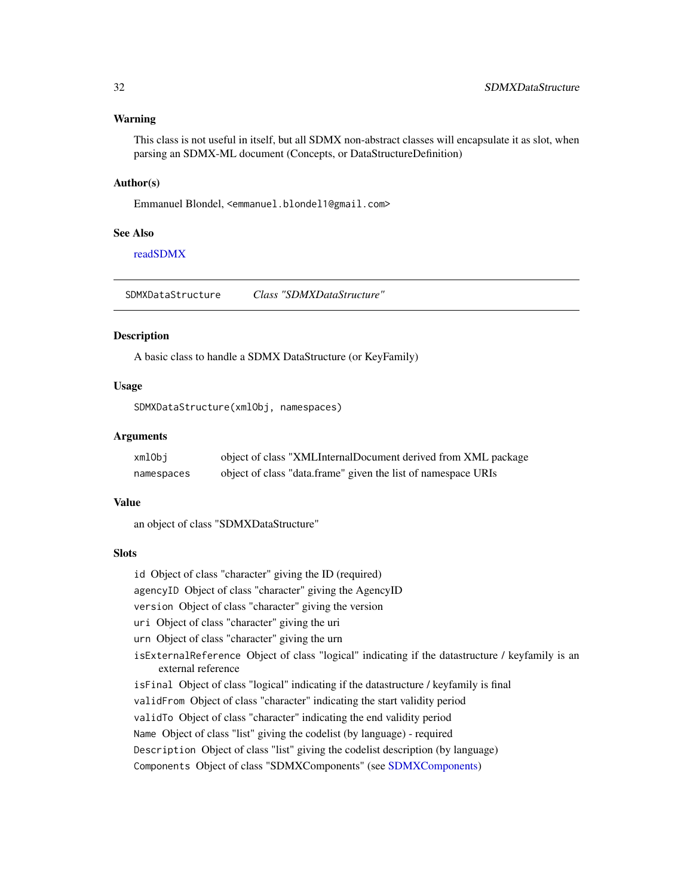#### <span id="page-31-0"></span>Warning

This class is not useful in itself, but all SDMX non-abstract classes will encapsulate it as slot, when parsing an SDMX-ML document (Concepts, or DataStructureDefinition)

#### Author(s)

Emmanuel Blondel, <emmanuel.blondel1@gmail.com>

#### See Also

[readSDMX](#page-11-1)

<span id="page-31-1"></span>SDMXDataStructure *Class "SDMXDataStructure"*

### Description

A basic class to handle a SDMX DataStructure (or KeyFamily)

#### Usage

SDMXDataStructure(xmlObj, namespaces)

### Arguments

| xmlObi     | object of class "XMLInternalDocument derived from XML package |
|------------|---------------------------------------------------------------|
| namespaces | object of class "data.frame" given the list of namespace URIs |

#### Value

an object of class "SDMXDataStructure"

### **Slots**

id Object of class "character" giving the ID (required)

agencyID Object of class "character" giving the AgencyID

version Object of class "character" giving the version

- uri Object of class "character" giving the uri
- urn Object of class "character" giving the urn
- isExternalReference Object of class "logical" indicating if the datastructure / keyfamily is an external reference
- isFinal Object of class "logical" indicating if the datastructure / keyfamily is final
- validFrom Object of class "character" indicating the start validity period
- validTo Object of class "character" indicating the end validity period
- Name Object of class "list" giving the codelist (by language) required

Description Object of class "list" giving the codelist description (by language)

Components Object of class "SDMXComponents" (see [SDMXComponents\)](#page-24-1)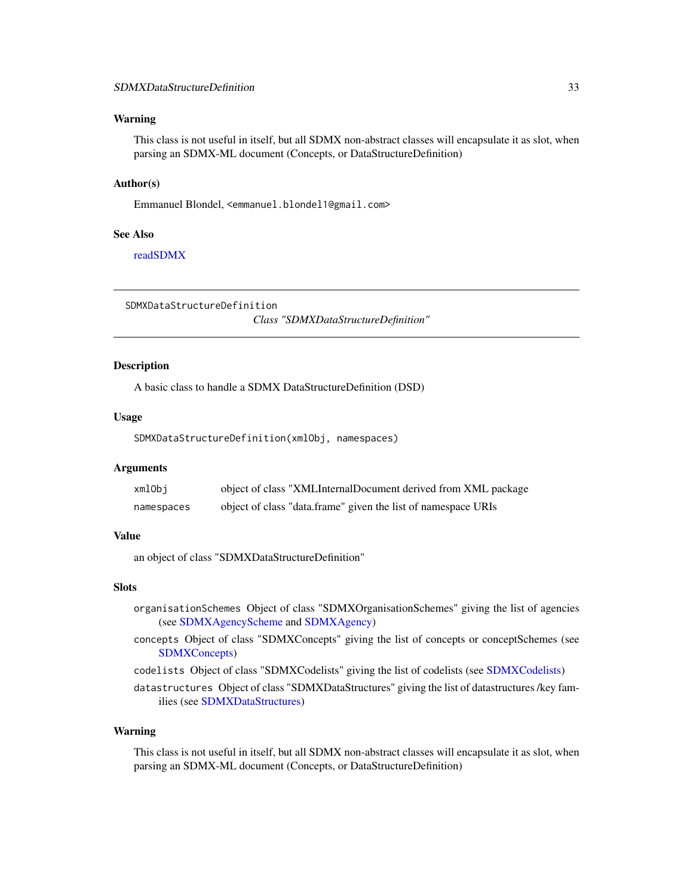#### <span id="page-32-0"></span>Warning

This class is not useful in itself, but all SDMX non-abstract classes will encapsulate it as slot, when parsing an SDMX-ML document (Concepts, or DataStructureDefinition)

#### Author(s)

Emmanuel Blondel, <emmanuel.blondel1@gmail.com>

#### See Also

[readSDMX](#page-11-1)

<span id="page-32-1"></span>SDMXDataStructureDefinition

*Class "SDMXDataStructureDefinition"*

### Description

A basic class to handle a SDMX DataStructureDefinition (DSD)

#### Usage

SDMXDataStructureDefinition(xmlObj, namespaces)

#### Arguments

| xmlObi     | object of class "XMLInternalDocument derived from XML package |
|------------|---------------------------------------------------------------|
| namespaces | object of class "data.frame" given the list of namespace URIs |

### Value

an object of class "SDMXDataStructureDefinition"

### Slots

- organisationSchemes Object of class "SDMXOrganisationSchemes" giving the list of agencies (see [SDMXAgencyScheme](#page-18-1) and [SDMXAgency\)](#page-17-1)
- concepts Object of class "SDMXConcepts" giving the list of concepts or conceptSchemes (see [SDMXConcepts\)](#page-26-1)
- codelists Object of class "SDMXCodelists" giving the list of codelists (see [SDMXCodelists\)](#page-22-1)

datastructures Object of class "SDMXDataStructures" giving the list of datastructures /key families (see [SDMXDataStructures\)](#page-33-1)

#### Warning

This class is not useful in itself, but all SDMX non-abstract classes will encapsulate it as slot, when parsing an SDMX-ML document (Concepts, or DataStructureDefinition)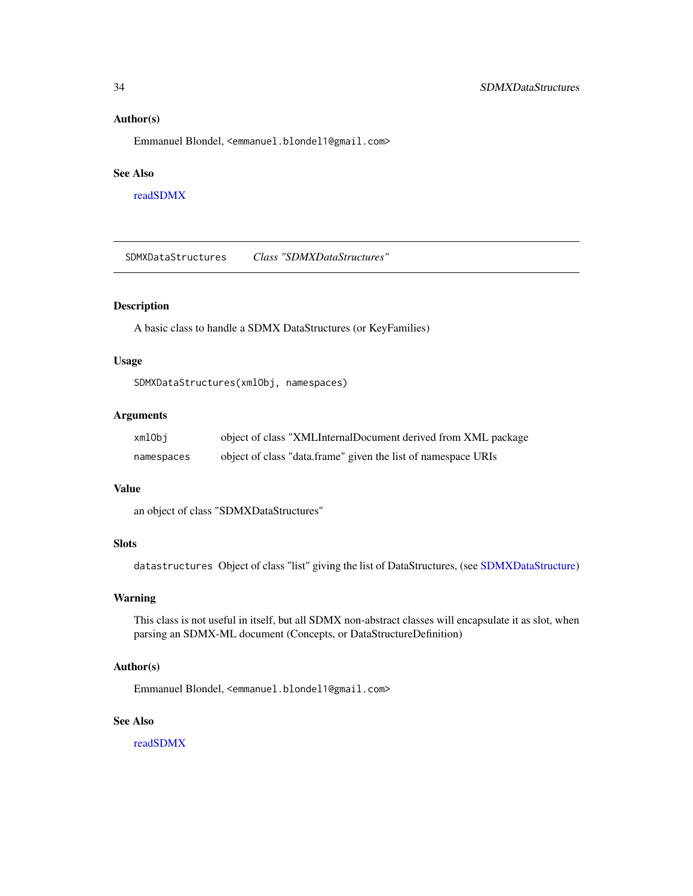#### <span id="page-33-0"></span>Author(s)

Emmanuel Blondel, <emmanuel.blondel1@gmail.com>

### See Also

[readSDMX](#page-11-1)

<span id="page-33-1"></span>SDMXDataStructures *Class "SDMXDataStructures"*

### Description

A basic class to handle a SDMX DataStructures (or KeyFamilies)

#### Usage

SDMXDataStructures(xmlObj, namespaces)

#### Arguments

| xmlObi     | object of class "XMLInternalDocument derived from XML package |
|------------|---------------------------------------------------------------|
| namespaces | object of class "data.frame" given the list of namespace URIs |

#### Value

an object of class "SDMXDataStructures"

### **Slots**

datastructures Object of class "list" giving the list of DataStructures, (see [SDMXDataStructure\)](#page-31-1)

#### Warning

This class is not useful in itself, but all SDMX non-abstract classes will encapsulate it as slot, when parsing an SDMX-ML document (Concepts, or DataStructureDefinition)

### Author(s)

Emmanuel Blondel, <emmanuel.blondel1@gmail.com>

### See Also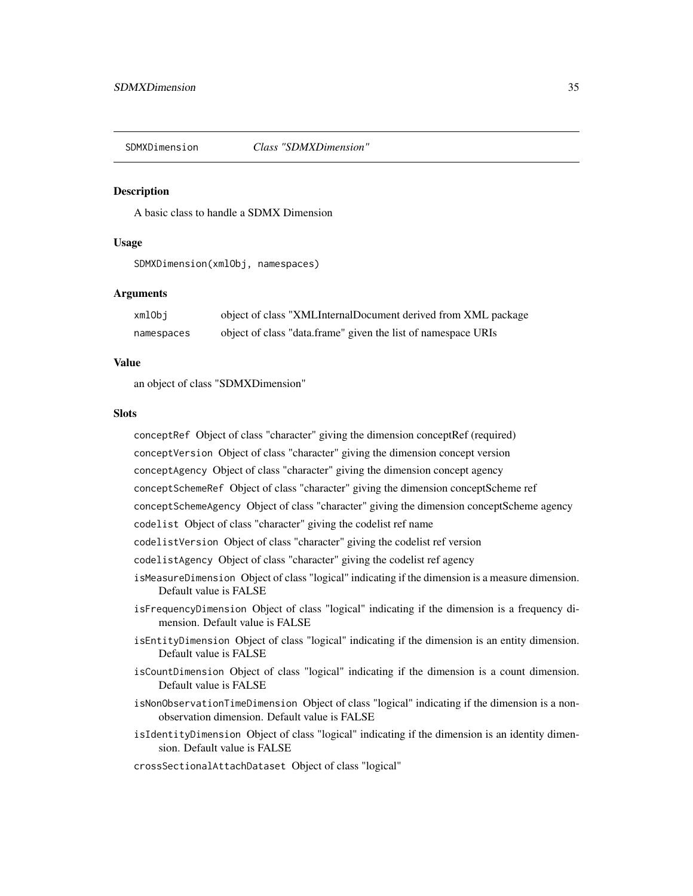<span id="page-34-1"></span><span id="page-34-0"></span>

#### **Description**

A basic class to handle a SDMX Dimension

#### Usage

SDMXDimension(xmlObj, namespaces)

#### Arguments

| xmlObi     | object of class "XMLInternalDocument derived from XML package |
|------------|---------------------------------------------------------------|
| namespaces | object of class "data.frame" given the list of namespace URIs |

#### Value

an object of class "SDMXDimension"

#### **Slots**

conceptRef Object of class "character" giving the dimension conceptRef (required) conceptVersion Object of class "character" giving the dimension concept version conceptAgency Object of class "character" giving the dimension concept agency conceptSchemeRef Object of class "character" giving the dimension conceptScheme ref conceptSchemeAgency Object of class "character" giving the dimension conceptScheme agency codelist Object of class "character" giving the codelist ref name codelistVersion Object of class "character" giving the codelist ref version codelistAgency Object of class "character" giving the codelist ref agency isMeasureDimension Object of class "logical" indicating if the dimension is a measure dimension. Default value is FALSE isFrequencyDimension Object of class "logical" indicating if the dimension is a frequency dimension. Default value is FALSE isEntityDimension Object of class "logical" indicating if the dimension is an entity dimension. Default value is FALSE isCountDimension Object of class "logical" indicating if the dimension is a count dimension. Default value is FALSE isNonObservationTimeDimension Object of class "logical" indicating if the dimension is a nonobservation dimension. Default value is FALSE

isIdentityDimension Object of class "logical" indicating if the dimension is an identity dimension. Default value is FALSE

crossSectionalAttachDataset Object of class "logical"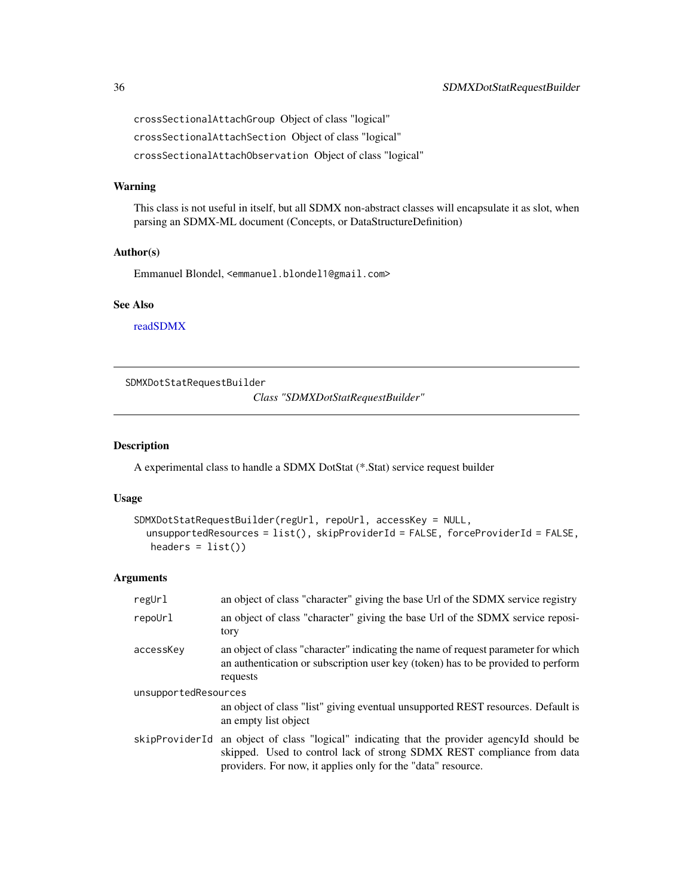<span id="page-35-0"></span>crossSectionalAttachGroup Object of class "logical" crossSectionalAttachSection Object of class "logical" crossSectionalAttachObservation Object of class "logical"

### Warning

This class is not useful in itself, but all SDMX non-abstract classes will encapsulate it as slot, when parsing an SDMX-ML document (Concepts, or DataStructureDefinition)

#### Author(s)

Emmanuel Blondel, <emmanuel.blondel1@gmail.com>

### See Also

[readSDMX](#page-11-1)

<span id="page-35-1"></span>SDMXDotStatRequestBuilder

*Class "SDMXDotStatRequestBuilder"*

#### Description

A experimental class to handle a SDMX DotStat (\*.Stat) service request builder

#### Usage

```
SDMXDotStatRequestBuilder(regUrl, repoUrl, accessKey = NULL,
  unsupportedResources = list(), skipProviderId = FALSE, forceProviderId = FALSE,
  headers = list()
```
### Arguments

| regUrl               | an object of class "character" giving the base Url of the SDMX service registry                                                                                                                                        |
|----------------------|------------------------------------------------------------------------------------------------------------------------------------------------------------------------------------------------------------------------|
| repoUrl              | an object of class "character" giving the base Url of the SDMX service reposi-<br>tory                                                                                                                                 |
| accessKey            | an object of class "character" indicating the name of request parameter for which<br>an authentication or subscription user key (token) has to be provided to perform<br>requests                                      |
| unsupportedResources |                                                                                                                                                                                                                        |
|                      | an object of class "list" giving eventual unsupported REST resources. Default is<br>an empty list object                                                                                                               |
| skipProviderId       | an object of class "logical" indicating that the provider agencyld should be<br>skipped. Used to control lack of strong SDMX REST compliance from data<br>providers. For now, it applies only for the "data" resource. |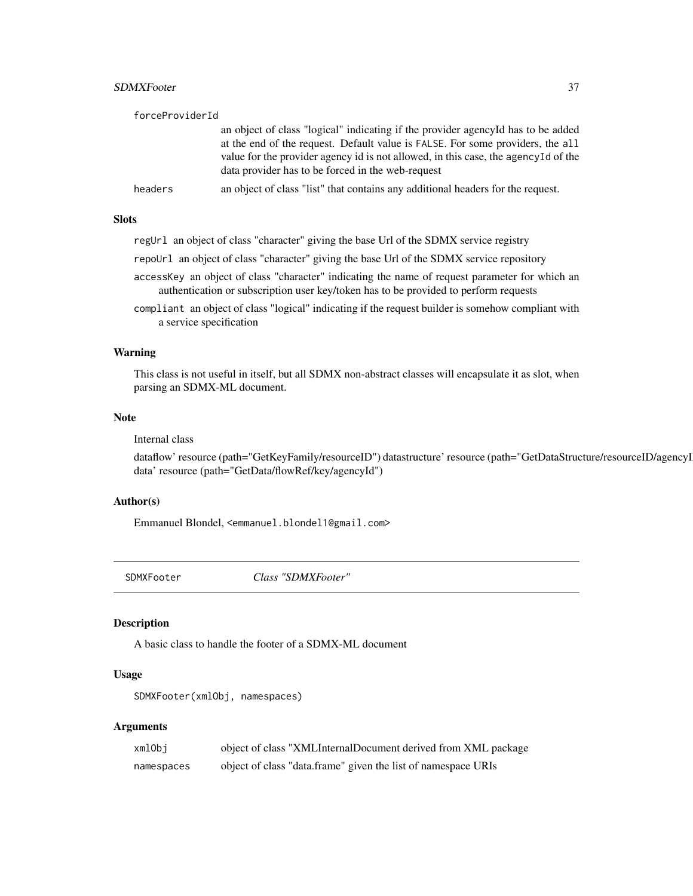### <span id="page-36-0"></span>SDMXFooter 37

| forceProviderId |                                                                                                                                                                                                                                                                                                                 |
|-----------------|-----------------------------------------------------------------------------------------------------------------------------------------------------------------------------------------------------------------------------------------------------------------------------------------------------------------|
|                 | an object of class "logical" indicating if the provider agency Id has to be added<br>at the end of the request. Default value is FALSE. For some providers, the all<br>value for the provider agency id is not allowed, in this case, the agency Id of the<br>data provider has to be forced in the web-request |
| headers         | an object of class "list" that contains any additional headers for the request.                                                                                                                                                                                                                                 |

### Slots

| regUrl an object of class "character" giving the base Url of the SDMX service registry |  |  |  |  |
|----------------------------------------------------------------------------------------|--|--|--|--|
|                                                                                        |  |  |  |  |

repoUrl an object of class "character" giving the base Url of the SDMX service repository

- accessKey an object of class "character" indicating the name of request parameter for which an authentication or subscription user key/token has to be provided to perform requests
- compliant an object of class "logical" indicating if the request builder is somehow compliant with a service specification

#### Warning

This class is not useful in itself, but all SDMX non-abstract classes will encapsulate it as slot, when parsing an SDMX-ML document.

#### Note

#### Internal class

dataflow' resource (path="GetKeyFamily/resourceID") datastructure' resource (path="GetDataStructure/resourceID/agencyI data' resource (path="GetData/flowRef/key/agencyId")

#### Author(s)

Emmanuel Blondel, <emmanuel.blondel1@gmail.com>

<span id="page-36-1"></span>SDMXFooter *Class "SDMXFooter"*

#### Description

A basic class to handle the footer of a SDMX-ML document

#### Usage

```
SDMXFooter(xmlObj, namespaces)
```
### Arguments

| xmlObi     | object of class "XMLInternalDocument derived from XML package |
|------------|---------------------------------------------------------------|
| namespaces | object of class "data.frame" given the list of namespace URIs |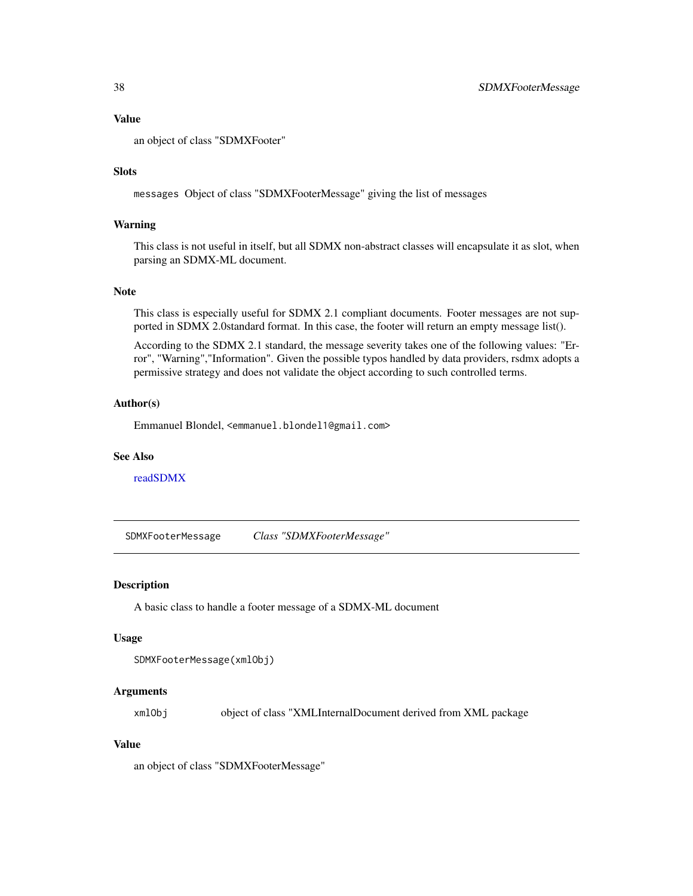#### <span id="page-37-0"></span>Value

an object of class "SDMXFooter"

#### **Slots**

messages Object of class "SDMXFooterMessage" giving the list of messages

### Warning

This class is not useful in itself, but all SDMX non-abstract classes will encapsulate it as slot, when parsing an SDMX-ML document.

### Note

This class is especially useful for SDMX 2.1 compliant documents. Footer messages are not supported in SDMX 2.0standard format. In this case, the footer will return an empty message list().

According to the SDMX 2.1 standard, the message severity takes one of the following values: "Error", "Warning","Information". Given the possible typos handled by data providers, rsdmx adopts a permissive strategy and does not validate the object according to such controlled terms.

### Author(s)

Emmanuel Blondel, <emmanuel.blondel1@gmail.com>

#### See Also

[readSDMX](#page-11-1)

SDMXFooterMessage *Class "SDMXFooterMessage"*

#### Description

A basic class to handle a footer message of a SDMX-ML document

#### Usage

```
SDMXFooterMessage(xmlObj)
```
### Arguments

xmlObj object of class "XMLInternalDocument derived from XML package

### Value

an object of class "SDMXFooterMessage"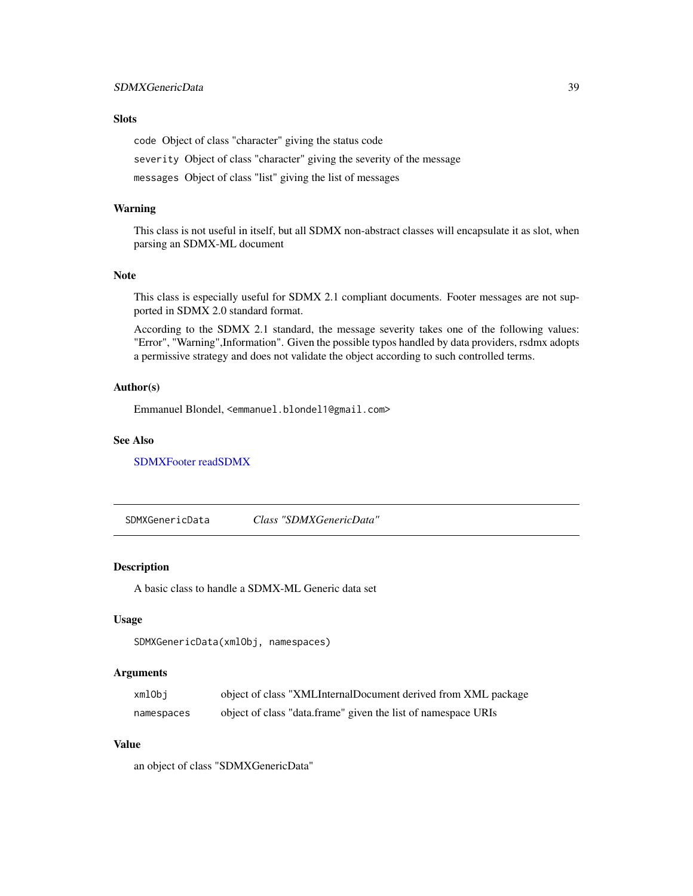### <span id="page-38-0"></span>Slots

code Object of class "character" giving the status code

severity Object of class "character" giving the severity of the message

messages Object of class "list" giving the list of messages

#### Warning

This class is not useful in itself, but all SDMX non-abstract classes will encapsulate it as slot, when parsing an SDMX-ML document

### Note

This class is especially useful for SDMX 2.1 compliant documents. Footer messages are not supported in SDMX 2.0 standard format.

According to the SDMX 2.1 standard, the message severity takes one of the following values: "Error", "Warning",Information". Given the possible typos handled by data providers, rsdmx adopts a permissive strategy and does not validate the object according to such controlled terms.

#### Author(s)

Emmanuel Blondel, <emmanuel.blondel1@gmail.com>

### See Also

[SDMXFooter](#page-36-1) [readSDMX](#page-11-1)

SDMXGenericData *Class "SDMXGenericData"*

### Description

A basic class to handle a SDMX-ML Generic data set

#### Usage

```
SDMXGenericData(xmlObj, namespaces)
```
### Arguments

| xmlObi     | object of class "XMLInternalDocument derived from XML package |
|------------|---------------------------------------------------------------|
| namespaces | object of class "data.frame" given the list of namespace URIs |

#### Value

an object of class "SDMXGenericData"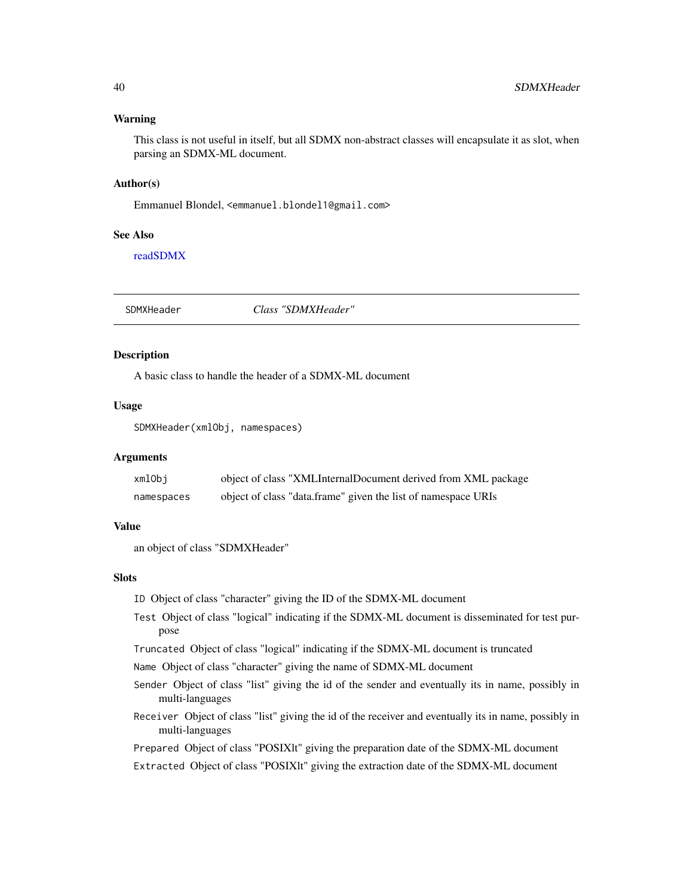#### <span id="page-39-0"></span>Warning

This class is not useful in itself, but all SDMX non-abstract classes will encapsulate it as slot, when parsing an SDMX-ML document.

#### Author(s)

Emmanuel Blondel, <emmanuel.blondel1@gmail.com>

#### See Also

[readSDMX](#page-11-1)

SDMXHeader *Class "SDMXHeader"*

### Description

A basic class to handle the header of a SDMX-ML document

#### Usage

```
SDMXHeader(xmlObj, namespaces)
```
#### Arguments

| xmlObi     | object of class "XMLInternalDocument derived from XML package |
|------------|---------------------------------------------------------------|
| namespaces | object of class "data.frame" given the list of namespace URIs |

#### Value

an object of class "SDMXHeader"

### **Slots**

ID Object of class "character" giving the ID of the SDMX-ML document

- Test Object of class "logical" indicating if the SDMX-ML document is disseminated for test purpose
- Truncated Object of class "logical" indicating if the SDMX-ML document is truncated
- Name Object of class "character" giving the name of SDMX-ML document
- Sender Object of class "list" giving the id of the sender and eventually its in name, possibly in multi-languages
- Receiver Object of class "list" giving the id of the receiver and eventually its in name, possibly in multi-languages
- Prepared Object of class "POSIXlt" giving the preparation date of the SDMX-ML document
- Extracted Object of class "POSIXlt" giving the extraction date of the SDMX-ML document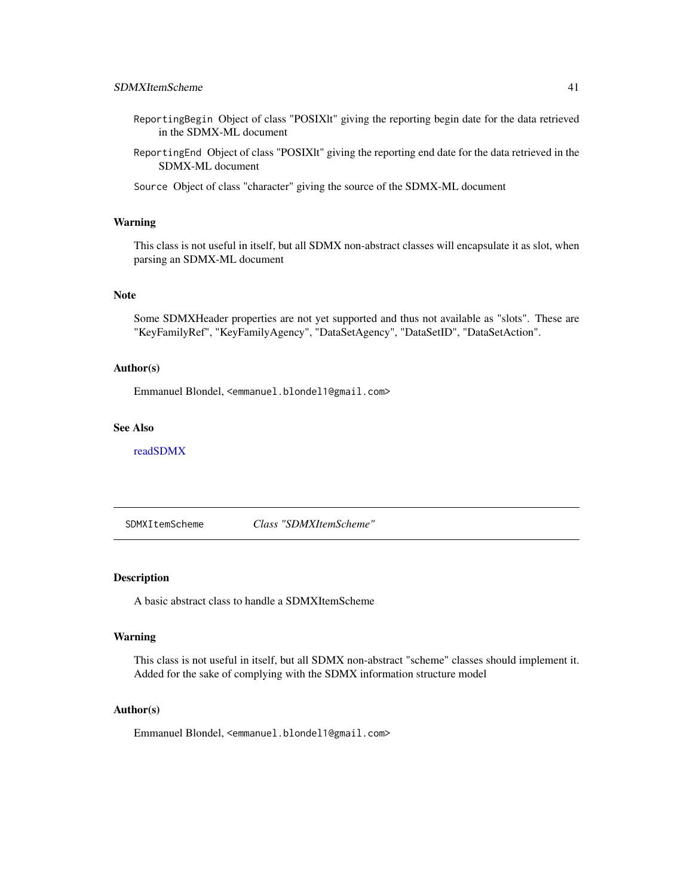- <span id="page-40-0"></span>ReportingBegin Object of class "POSIXlt" giving the reporting begin date for the data retrieved in the SDMX-ML document
- ReportingEnd Object of class "POSIXlt" giving the reporting end date for the data retrieved in the SDMX-ML document
- Source Object of class "character" giving the source of the SDMX-ML document

### Warning

This class is not useful in itself, but all SDMX non-abstract classes will encapsulate it as slot, when parsing an SDMX-ML document

#### Note

Some SDMXHeader properties are not yet supported and thus not available as "slots". These are "KeyFamilyRef", "KeyFamilyAgency", "DataSetAgency", "DataSetID", "DataSetAction".

### Author(s)

Emmanuel Blondel, <emmanuel.blondel1@gmail.com>

#### See Also

[readSDMX](#page-11-1)

SDMXItemScheme *Class "SDMXItemScheme"*

### Description

A basic abstract class to handle a SDMXItemScheme

#### Warning

This class is not useful in itself, but all SDMX non-abstract "scheme" classes should implement it. Added for the sake of complying with the SDMX information structure model

#### Author(s)

Emmanuel Blondel, <emmanuel.blondel1@gmail.com>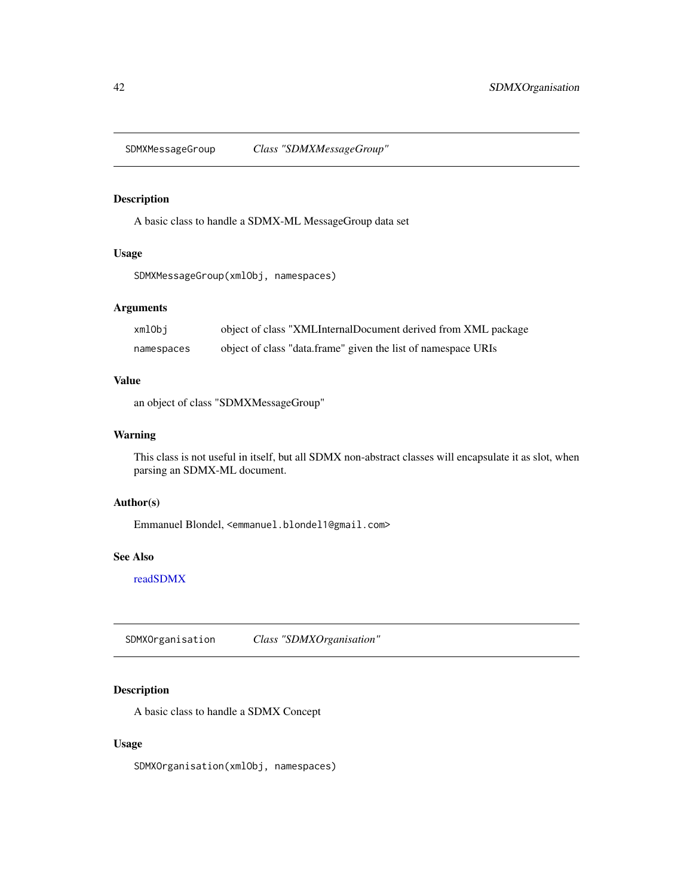<span id="page-41-0"></span>SDMXMessageGroup *Class "SDMXMessageGroup"*

### Description

A basic class to handle a SDMX-ML MessageGroup data set

#### Usage

```
SDMXMessageGroup(xmlObj, namespaces)
```
### Arguments

| xmlObi     | object of class "XMLInternalDocument derived from XML package |
|------------|---------------------------------------------------------------|
| namespaces | object of class "data.frame" given the list of namespace URIs |

### Value

an object of class "SDMXMessageGroup"

### Warning

This class is not useful in itself, but all SDMX non-abstract classes will encapsulate it as slot, when parsing an SDMX-ML document.

### Author(s)

Emmanuel Blondel, <emmanuel.blondel1@gmail.com>

### See Also

[readSDMX](#page-11-1)

SDMXOrganisation *Class "SDMXOrganisation"*

### Description

A basic class to handle a SDMX Concept

### Usage

SDMXOrganisation(xmlObj, namespaces)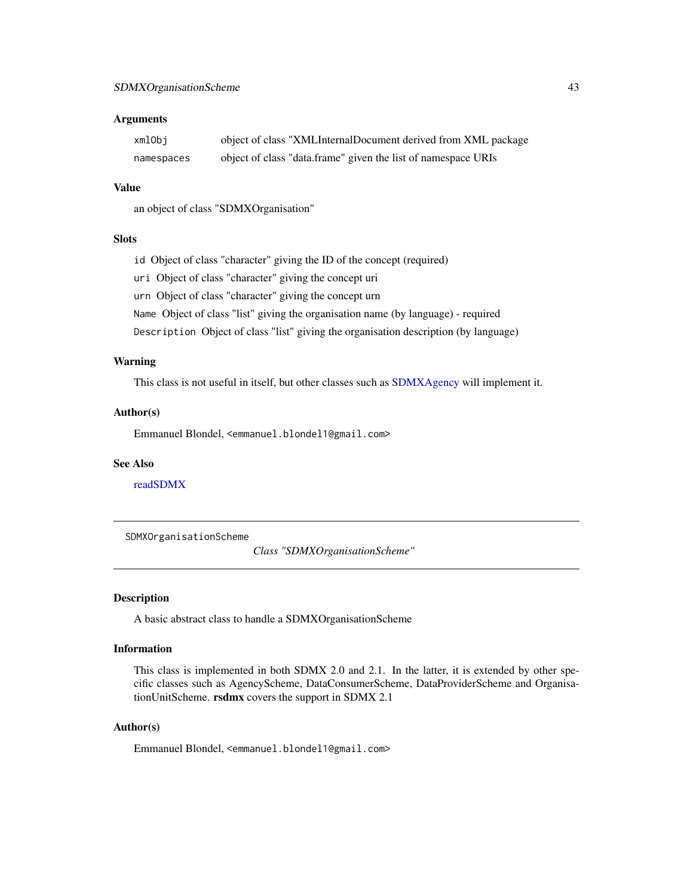#### <span id="page-42-0"></span>**Arguments**

| xmlObi     | object of class "XMLInternalDocument derived from XML package |
|------------|---------------------------------------------------------------|
| namespaces | object of class "data.frame" given the list of namespace URIs |

#### Value

an object of class "SDMXOrganisation"

#### **Slots**

id Object of class "character" giving the ID of the concept (required)

uri Object of class "character" giving the concept uri

urn Object of class "character" giving the concept urn

Name Object of class "list" giving the organisation name (by language) - required

Description Object of class "list" giving the organisation description (by language)

#### Warning

This class is not useful in itself, but other classes such as [SDMXAgency](#page-17-1) will implement it.

### Author(s)

Emmanuel Blondel, <emmanuel.blondel1@gmail.com>

### See Also

[readSDMX](#page-11-1)

SDMXOrganisationScheme

*Class "SDMXOrganisationScheme"*

### Description

A basic abstract class to handle a SDMXOrganisationScheme

#### Information

This class is implemented in both SDMX 2.0 and 2.1. In the latter, it is extended by other specific classes such as AgencyScheme, DataConsumerScheme, DataProviderScheme and OrganisationUnitScheme. rsdmx covers the support in SDMX 2.1

#### Author(s)

Emmanuel Blondel, <emmanuel.blondel1@gmail.com>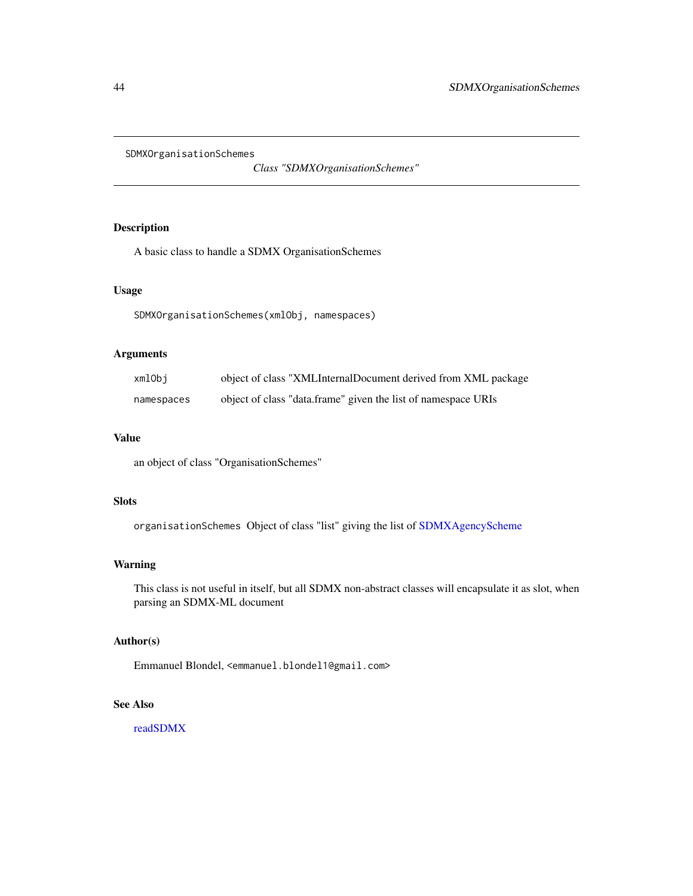<span id="page-43-0"></span>SDMXOrganisationSchemes

*Class "SDMXOrganisationSchemes"*

### Description

A basic class to handle a SDMX OrganisationSchemes

#### Usage

SDMXOrganisationSchemes(xmlObj, namespaces)

### Arguments

| xmlObi     | object of class "XMLInternalDocument derived from XML package |
|------------|---------------------------------------------------------------|
| namespaces | object of class "data.frame" given the list of namespace URIs |

### Value

an object of class "OrganisationSchemes"

### Slots

organisationSchemes Object of class "list" giving the list of [SDMXAgencyScheme](#page-18-1)

#### Warning

This class is not useful in itself, but all SDMX non-abstract classes will encapsulate it as slot, when parsing an SDMX-ML document

### Author(s)

Emmanuel Blondel, <emmanuel.blondel1@gmail.com>

### See Also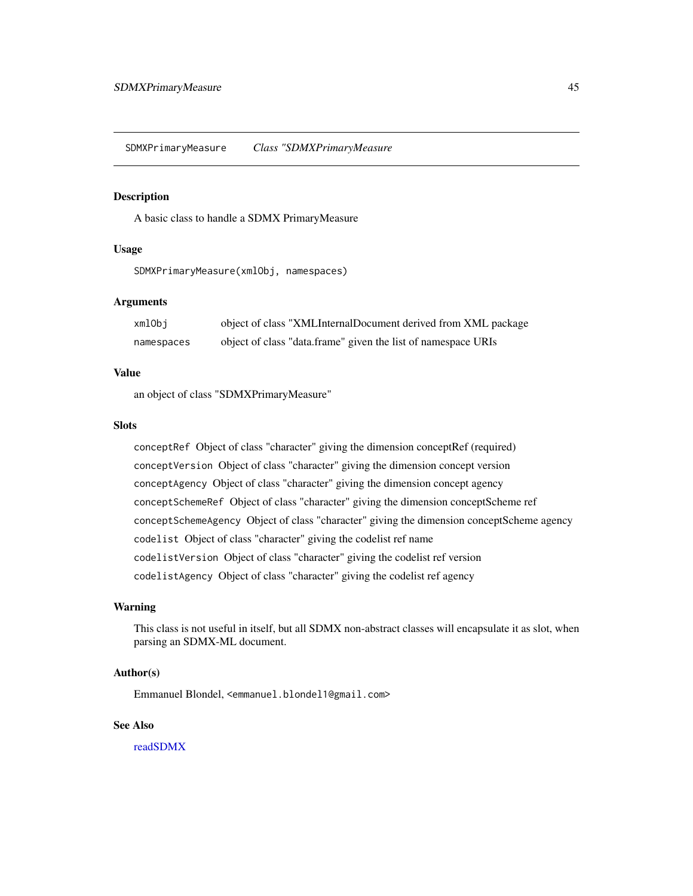<span id="page-44-0"></span>SDMXPrimaryMeasure *Class "SDMXPrimaryMeasure*

#### Description

A basic class to handle a SDMX PrimaryMeasure

### Usage

SDMXPrimaryMeasure(xmlObj, namespaces)

#### Arguments

| xmlObi     | object of class "XMLInternalDocument derived from XML package |
|------------|---------------------------------------------------------------|
| namespaces | object of class "data.frame" given the list of namespace URIs |

#### Value

an object of class "SDMXPrimaryMeasure"

#### Slots

conceptRef Object of class "character" giving the dimension conceptRef (required) conceptVersion Object of class "character" giving the dimension concept version conceptAgency Object of class "character" giving the dimension concept agency conceptSchemeRef Object of class "character" giving the dimension conceptScheme ref conceptSchemeAgency Object of class "character" giving the dimension conceptScheme agency codelist Object of class "character" giving the codelist ref name codelistVersion Object of class "character" giving the codelist ref version codelistAgency Object of class "character" giving the codelist ref agency

### Warning

This class is not useful in itself, but all SDMX non-abstract classes will encapsulate it as slot, when parsing an SDMX-ML document.

### Author(s)

Emmanuel Blondel, <emmanuel.blondel1@gmail.com>

### See Also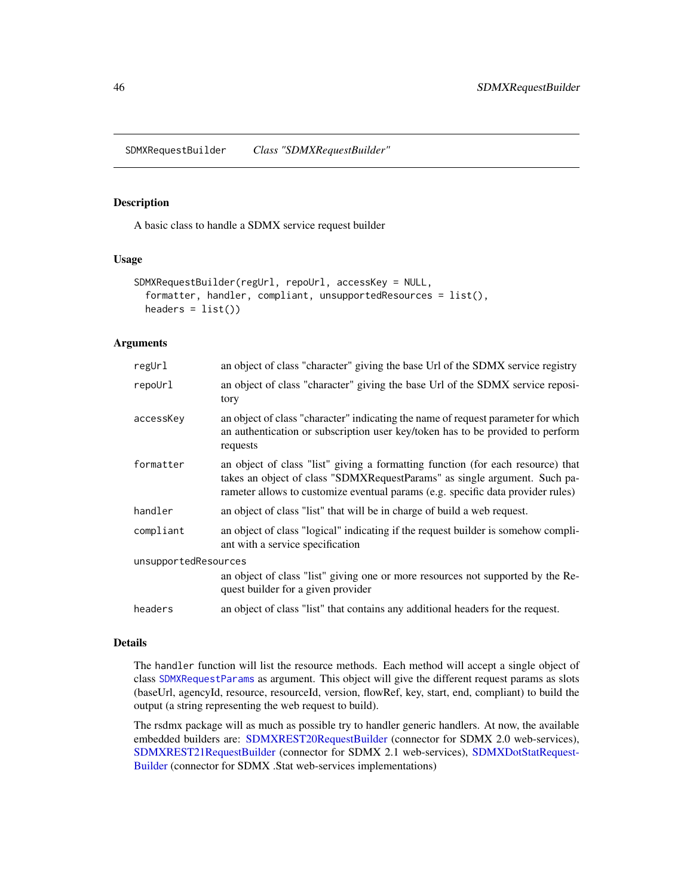<span id="page-45-0"></span>SDMXRequestBuilder *Class "SDMXRequestBuilder"*

#### Description

A basic class to handle a SDMX service request builder

#### Usage

```
SDMXRequestBuilder(regUrl, repoUrl, accessKey = NULL,
  formatter, handler, compliant, unsupportedResources = list(),
 headers = list()
```
#### Arguments

| an object of class "character" giving the base Url of the SDMX service registry                                                                                                                                                                 |  |  |
|-------------------------------------------------------------------------------------------------------------------------------------------------------------------------------------------------------------------------------------------------|--|--|
| an object of class "character" giving the base Url of the SDMX service reposi-<br>tory                                                                                                                                                          |  |  |
| an object of class "character" indicating the name of request parameter for which<br>an authentication or subscription user key/token has to be provided to perform<br>requests                                                                 |  |  |
| an object of class "list" giving a formatting function (for each resource) that<br>takes an object of class "SDMXRequestParams" as single argument. Such pa-<br>rameter allows to customize eventual params (e.g. specific data provider rules) |  |  |
| an object of class "list" that will be in charge of build a web request.                                                                                                                                                                        |  |  |
| an object of class "logical" indicating if the request builder is somehow compli-<br>ant with a service specification                                                                                                                           |  |  |
| unsupportedResources                                                                                                                                                                                                                            |  |  |
| an object of class "list" giving one or more resources not supported by the Re-<br>quest builder for a given provider                                                                                                                           |  |  |
| an object of class "list" that contains any additional headers for the request.                                                                                                                                                                 |  |  |
|                                                                                                                                                                                                                                                 |  |  |

#### Details

The handler function will list the resource methods. Each method will accept a single object of class [SDMXRequestParams](#page-47-1) as argument. This object will give the different request params as slots (baseUrl, agencyId, resource, resourceId, version, flowRef, key, start, end, compliant) to build the output (a string representing the web request to build).

The rsdmx package will as much as possible try to handler generic handlers. At now, the available embedded builders are: [SDMXREST20RequestBuilder](#page-49-1) (connector for SDMX 2.0 web-services), [SDMXREST21RequestBuilder](#page-50-1) (connector for SDMX 2.1 web-services), [SDMXDotStatRequest-](#page-35-1)[Builder](#page-35-1) (connector for SDMX .Stat web-services implementations)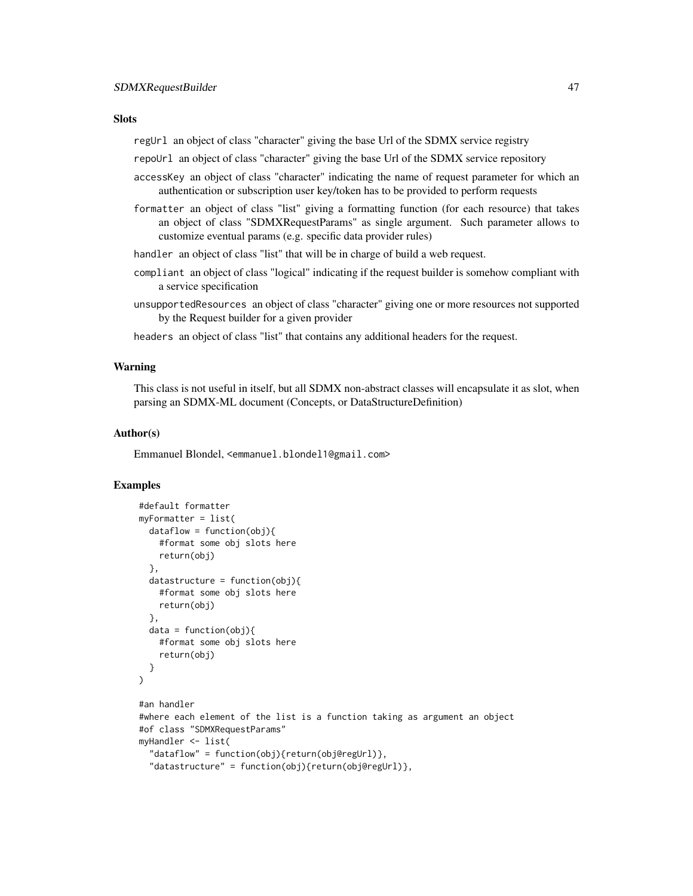#### **Slots**

regUrl an object of class "character" giving the base Url of the SDMX service registry

repoUrl an object of class "character" giving the base Url of the SDMX service repository

- accessKey an object of class "character" indicating the name of request parameter for which an authentication or subscription user key/token has to be provided to perform requests
- formatter an object of class "list" giving a formatting function (for each resource) that takes an object of class "SDMXRequestParams" as single argument. Such parameter allows to customize eventual params (e.g. specific data provider rules)
- handler an object of class "list" that will be in charge of build a web request.
- compliant an object of class "logical" indicating if the request builder is somehow compliant with a service specification
- unsupportedResources an object of class "character" giving one or more resources not supported by the Request builder for a given provider
- headers an object of class "list" that contains any additional headers for the request.

#### Warning

This class is not useful in itself, but all SDMX non-abstract classes will encapsulate it as slot, when parsing an SDMX-ML document (Concepts, or DataStructureDefinition)

#### Author(s)

Emmanuel Blondel, <emmanuel.blondel1@gmail.com>

### Examples

```
#default formatter
myFormatter = list(
 dataflow = function(obj)#format some obj slots here
   return(obj)
 },
 datastructure = function(obj)#format some obj slots here
    return(obj)
 },
  data = function(obj)#format some obj slots here
    return(obj)
 }
\lambda#an handler
#where each element of the list is a function taking as argument an object
#of class "SDMXRequestParams"
myHandler <- list(
  "dataflow" = function(obj){return(obj@regUrl)},
  "datastructure" = function(obj){return(obj@regUrl)},
```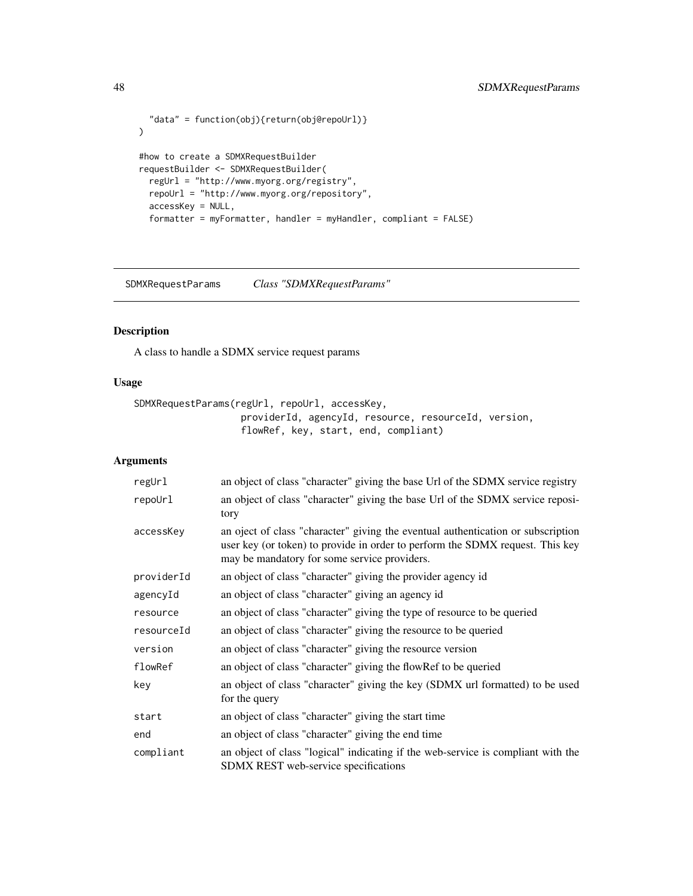```
"data" = function(obj){return(obj@repoUrl)}
\mathcal{L}#how to create a SDMXRequestBuilder
requestBuilder <- SDMXRequestBuilder(
 regUrl = "http://www.myorg.org/registry",
 repoUrl = "http://www.myorg.org/repository",
 accessKey = NULL,
  formatter = myFormatter, handler = myHandler, compliant = FALSE)
```
<span id="page-47-1"></span>SDMXRequestParams *Class "SDMXRequestParams"*

#### Description

A class to handle a SDMX service request params

#### Usage

```
SDMXRequestParams(regUrl, repoUrl, accessKey,
                   providerId, agencyId, resource, resourceId, version,
                   flowRef, key, start, end, compliant)
```
### Arguments

| regUrl     | an object of class "character" giving the base Url of the SDMX service registry                                                                                                                                   |
|------------|-------------------------------------------------------------------------------------------------------------------------------------------------------------------------------------------------------------------|
| repoUrl    | an object of class "character" giving the base Url of the SDMX service reposi-<br>tory                                                                                                                            |
| accessKey  | an oject of class "character" giving the eventual authentication or subscription<br>user key (or token) to provide in order to perform the SDMX request. This key<br>may be mandatory for some service providers. |
| providerId | an object of class "character" giving the provider agency id                                                                                                                                                      |
| agencyId   | an object of class "character" giving an agency id                                                                                                                                                                |
| resource   | an object of class "character" giving the type of resource to be queried                                                                                                                                          |
| resourceId | an object of class "character" giving the resource to be queried                                                                                                                                                  |
| version    | an object of class "character" giving the resource version                                                                                                                                                        |
| flowRef    | an object of class "character" giving the flowRef to be queried                                                                                                                                                   |
| key        | an object of class "character" giving the key (SDMX url formatted) to be used<br>for the query                                                                                                                    |
| start      | an object of class "character" giving the start time                                                                                                                                                              |
| end        | an object of class "character" giving the end time                                                                                                                                                                |
| compliant  | an object of class "logical" indicating if the web-service is compliant with the<br><b>SDMX REST</b> web-service specifications                                                                                   |

<span id="page-47-0"></span>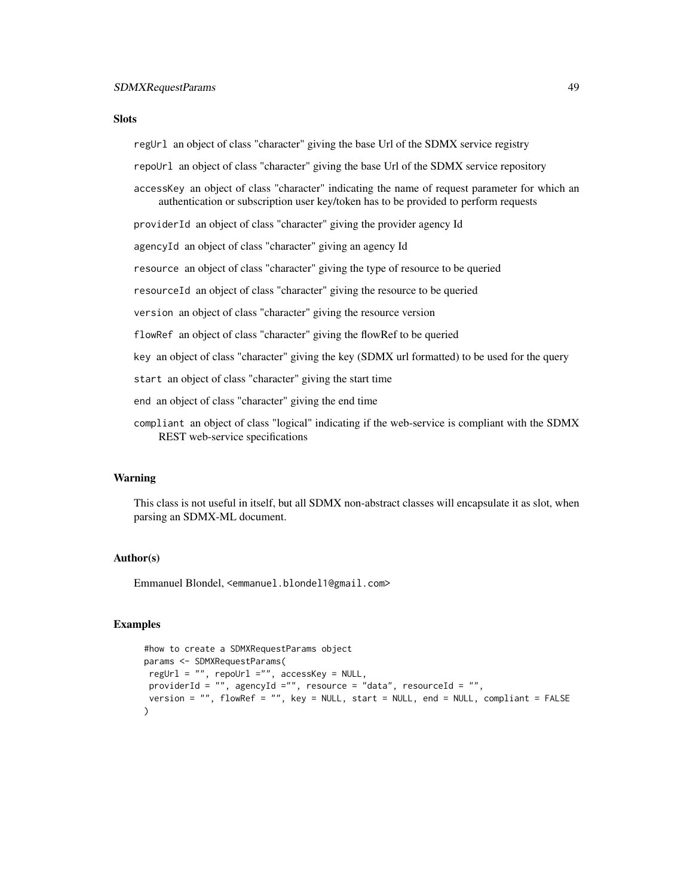#### **Slots**

regUrl an object of class "character" giving the base Url of the SDMX service registry

repoUrl an object of class "character" giving the base Url of the SDMX service repository

accessKey an object of class "character" indicating the name of request parameter for which an authentication or subscription user key/token has to be provided to perform requests

providerId an object of class "character" giving the provider agency Id

agencyId an object of class "character" giving an agency Id

resource an object of class "character" giving the type of resource to be queried

resourceId an object of class "character" giving the resource to be queried

version an object of class "character" giving the resource version

flowRef an object of class "character" giving the flowRef to be queried

key an object of class "character" giving the key (SDMX url formatted) to be used for the query

start an object of class "character" giving the start time

end an object of class "character" giving the end time

compliant an object of class "logical" indicating if the web-service is compliant with the SDMX REST web-service specifications

### Warning

This class is not useful in itself, but all SDMX non-abstract classes will encapsulate it as slot, when parsing an SDMX-ML document.

#### Author(s)

Emmanuel Blondel, <emmanuel.blondel1@gmail.com>

#### Examples

```
#how to create a SDMXRequestParams object
params <- SDMXRequestParams(
 regUrl = ", repoUrl ="", accessKey = NULL,
 providerId = "", agencyId ="", resource = "data", resourceId = "",
 version = "", flowRef = "", key = NULL, start = NULL, end = NULL, compliant = FALSE
)
```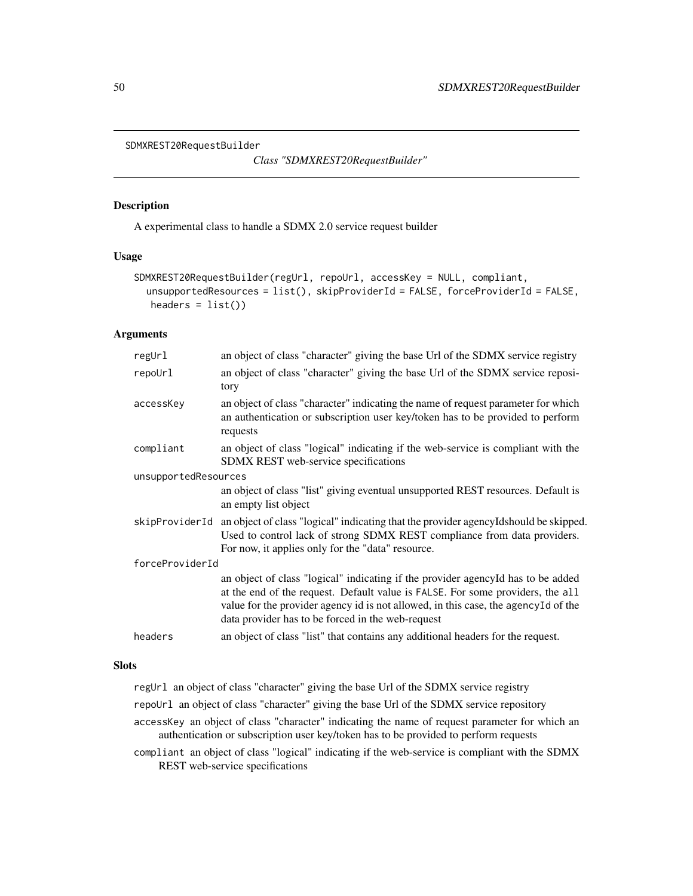```
SDMXREST20RequestBuilder
```
*Class "SDMXREST20RequestBuilder"*

### Description

A experimental class to handle a SDMX 2.0 service request builder

#### Usage

```
SDMXREST20RequestBuilder(regUrl, repoUrl, accessKey = NULL, compliant,
  unsupportedResources = list(), skipProviderId = FALSE, forceProviderId = FALSE,
  headers = list()
```
#### Arguments

| regUrl               | an object of class "character" giving the base Url of the SDMX service registry                                                                                                                                                                                                                               |  |
|----------------------|---------------------------------------------------------------------------------------------------------------------------------------------------------------------------------------------------------------------------------------------------------------------------------------------------------------|--|
| repoUrl              | an object of class "character" giving the base Url of the SDMX service reposi-<br>tory                                                                                                                                                                                                                        |  |
| accessKey            | an object of class "character" indicating the name of request parameter for which<br>an authentication or subscription user key/token has to be provided to perform<br>requests                                                                                                                               |  |
| compliant            | an object of class "logical" indicating if the web-service is compliant with the<br>SDMX REST web-service specifications                                                                                                                                                                                      |  |
| unsupportedResources |                                                                                                                                                                                                                                                                                                               |  |
|                      | an object of class "list" giving eventual unsupported REST resources. Default is<br>an empty list object                                                                                                                                                                                                      |  |
| skipProviderId       | an object of class "logical" indicating that the provider agencyIdshould be skipped.<br>Used to control lack of strong SDMX REST compliance from data providers.<br>For now, it applies only for the "data" resource.                                                                                         |  |
| forceProviderId      |                                                                                                                                                                                                                                                                                                               |  |
|                      | an object of class "logical" indicating if the provider agencyId has to be added<br>at the end of the request. Default value is FALSE. For some providers, the all<br>value for the provider agency id is not allowed, in this case, the agencyId of the<br>data provider has to be forced in the web-request |  |
| headers              | an object of class "list" that contains any additional headers for the request.                                                                                                                                                                                                                               |  |
|                      |                                                                                                                                                                                                                                                                                                               |  |

### Slots

regUrl an object of class "character" giving the base Url of the SDMX service registry

- repoUrl an object of class "character" giving the base Url of the SDMX service repository
- accessKey an object of class "character" indicating the name of request parameter for which an authentication or subscription user key/token has to be provided to perform requests
- compliant an object of class "logical" indicating if the web-service is compliant with the SDMX REST web-service specifications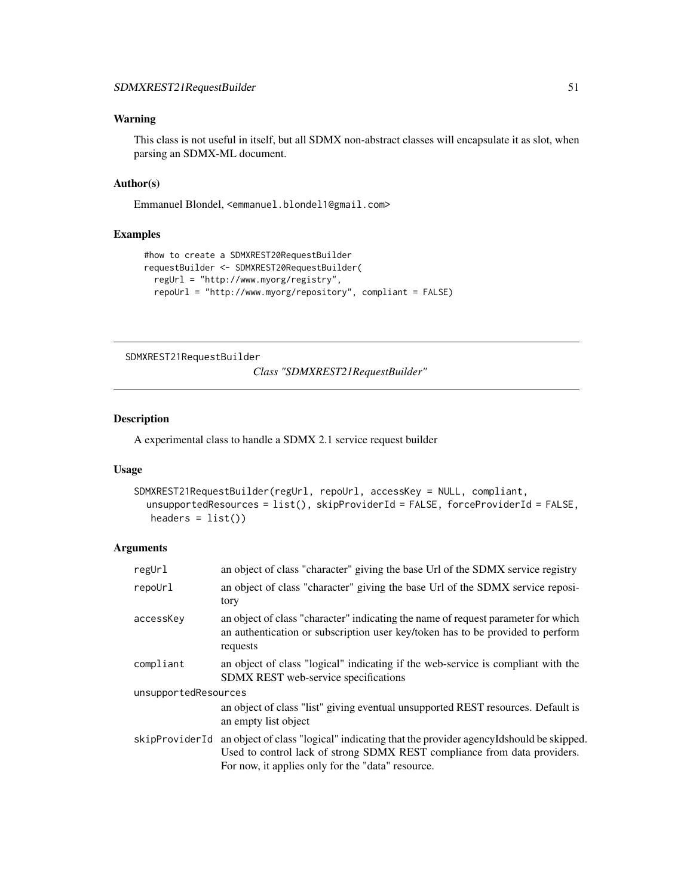### <span id="page-50-0"></span>Warning

This class is not useful in itself, but all SDMX non-abstract classes will encapsulate it as slot, when parsing an SDMX-ML document.

#### Author(s)

Emmanuel Blondel, <emmanuel.blondel1@gmail.com>

### Examples

```
#how to create a SDMXREST20RequestBuilder
requestBuilder <- SDMXREST20RequestBuilder(
  regUrl = "http://www.myorg/registry",
  repoUrl = "http://www.myorg/repository", compliant = FALSE)
```
<span id="page-50-1"></span>SDMXREST21RequestBuilder

*Class "SDMXREST21RequestBuilder"*

### Description

A experimental class to handle a SDMX 2.1 service request builder

#### Usage

```
SDMXREST21RequestBuilder(regUrl, repoUrl, accessKey = NULL, compliant,
  unsupportedResources = list(), skipProviderId = FALSE, forceProviderId = FALSE,
  headers = list()
```
### Arguments

| regUrl               | an object of class "character" giving the base Url of the SDMX service registry                                                                                                                                        |  |
|----------------------|------------------------------------------------------------------------------------------------------------------------------------------------------------------------------------------------------------------------|--|
| repoUrl              | an object of class "character" giving the base Url of the SDMX service reposi-<br>tory                                                                                                                                 |  |
| accessKey            | an object of class "character" indicating the name of request parameter for which<br>an authentication or subscription user key/token has to be provided to perform<br>requests                                        |  |
| compliant            | an object of class "logical" indicating if the web-service is compliant with the<br><b>SDMX REST</b> web-service specifications                                                                                        |  |
| unsupportedResources |                                                                                                                                                                                                                        |  |
|                      | an object of class "list" giving eventual unsupported REST resources. Default is<br>an empty list object                                                                                                               |  |
| skipProviderId       | an object of class "logical" indicating that the provider agency Idshould be skipped.<br>Used to control lack of strong SDMX REST compliance from data providers.<br>For now, it applies only for the "data" resource. |  |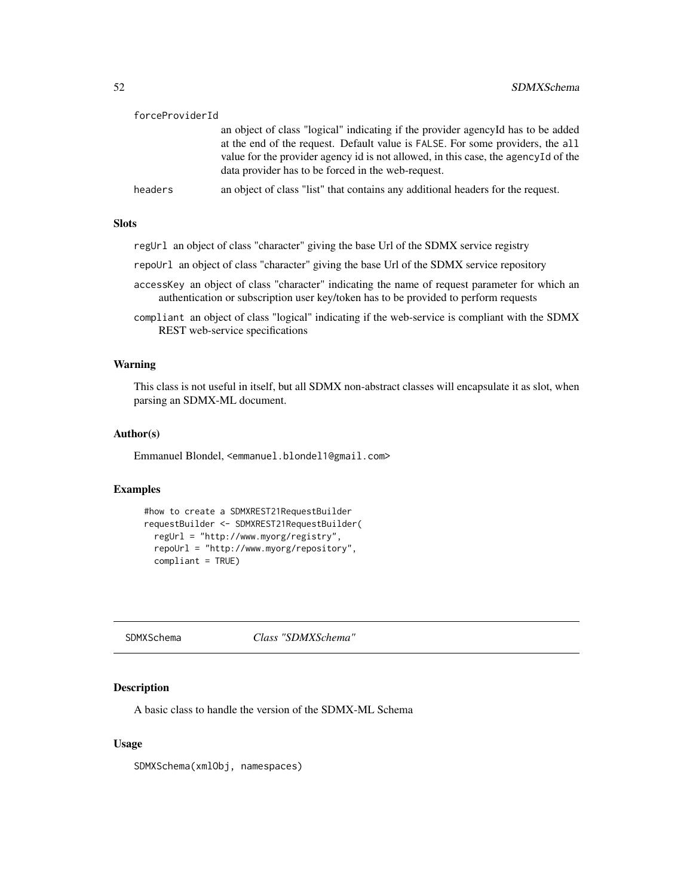<span id="page-51-0"></span>

| forceProviderId |                                                                                                                                                                                                                                                                                                                  |
|-----------------|------------------------------------------------------------------------------------------------------------------------------------------------------------------------------------------------------------------------------------------------------------------------------------------------------------------|
|                 | an object of class "logical" indicating if the provider agency of has to be added<br>at the end of the request. Default value is FALSE. For some providers, the all<br>value for the provider agency id is not allowed, in this case, the agency Id of the<br>data provider has to be forced in the web-request. |
| headers         | an object of class "list" that contains any additional headers for the request.                                                                                                                                                                                                                                  |

### Slots

regUrl an object of class "character" giving the base Url of the SDMX service registry

repoUrl an object of class "character" giving the base Url of the SDMX service repository

- accessKey an object of class "character" indicating the name of request parameter for which an authentication or subscription user key/token has to be provided to perform requests
- compliant an object of class "logical" indicating if the web-service is compliant with the SDMX REST web-service specifications

#### Warning

This class is not useful in itself, but all SDMX non-abstract classes will encapsulate it as slot, when parsing an SDMX-ML document.

#### Author(s)

Emmanuel Blondel, <emmanuel.blondel1@gmail.com>

#### Examples

```
#how to create a SDMXREST21RequestBuilder
requestBuilder <- SDMXREST21RequestBuilder(
 regUrl = "http://www.myorg/registry",
  repoUrl = "http://www.myorg/repository",
  compliant = TRUE)
```
SDMXSchema *Class "SDMXSchema"*

### Description

A basic class to handle the version of the SDMX-ML Schema

### Usage

SDMXSchema(xmlObj, namespaces)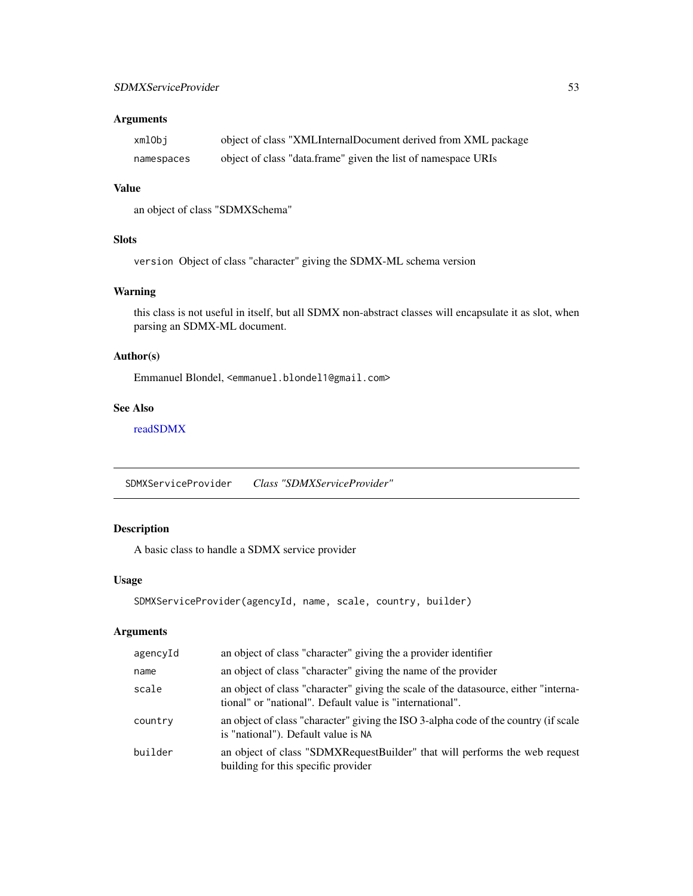### <span id="page-52-0"></span>Arguments

| xmlObi     | object of class "XMLInternalDocument derived from XML package |
|------------|---------------------------------------------------------------|
| namespaces | object of class "data.frame" given the list of namespace URIs |

#### Value

an object of class "SDMXSchema"

### **Slots**

version Object of class "character" giving the SDMX-ML schema version

### Warning

this class is not useful in itself, but all SDMX non-abstract classes will encapsulate it as slot, when parsing an SDMX-ML document.

### Author(s)

Emmanuel Blondel, <emmanuel.blondel1@gmail.com>

### See Also

[readSDMX](#page-11-1)

<span id="page-52-1"></span>SDMXServiceProvider *Class "SDMXServiceProvider"*

### Description

A basic class to handle a SDMX service provider

### Usage

```
SDMXServiceProvider(agencyId, name, scale, country, builder)
```
### Arguments

| agencyId | an object of class "character" giving the a provider identifier                                                                                 |
|----------|-------------------------------------------------------------------------------------------------------------------------------------------------|
| name     | an object of class "character" giving the name of the provider                                                                                  |
| scale    | an object of class "character" giving the scale of the datasource, either "interna-<br>tional" or "national". Default value is "international". |
| country  | an object of class "character" giving the ISO 3-alpha code of the country (if scale<br>is "national"). Default value is NA                      |
| builder  | an object of class "SDMXRequestBuilder" that will performs the web request<br>building for this specific provider                               |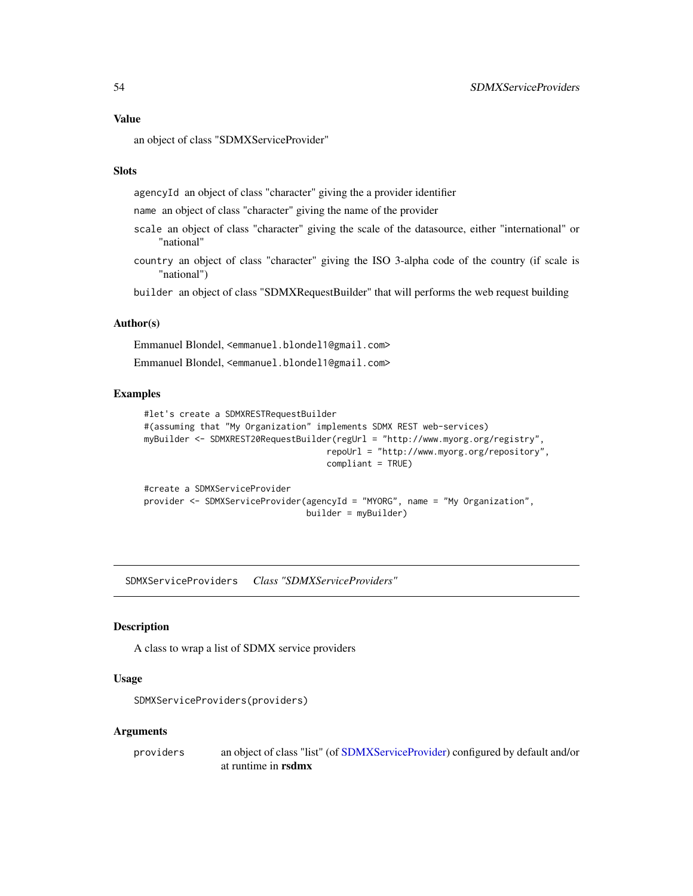### <span id="page-53-0"></span>Value

an object of class "SDMXServiceProvider"

#### **Slots**

agencyId an object of class "character" giving the a provider identifier

name an object of class "character" giving the name of the provider

- scale an object of class "character" giving the scale of the datasource, either "international" or "national"
- country an object of class "character" giving the ISO 3-alpha code of the country (if scale is "national")

builder an object of class "SDMXRequestBuilder" that will performs the web request building

### Author(s)

Emmanuel Blondel, <emmanuel.blondel1@gmail.com>

Emmanuel Blondel, <emmanuel.blondel1@gmail.com>

#### Examples

```
#let's create a SDMXRESTRequestBuilder
#(assuming that "My Organization" implements SDMX REST web-services)
myBuilder <- SDMXREST20RequestBuilder(regUrl = "http://www.myorg.org/registry",
                                    repoUrl = "http://www.myorg.org/repository",
                                    compliant = TRUE)
#create a SDMXServiceProvider
provider <- SDMXServiceProvider(agencyId = "MYORG", name = "My Organization",
                                builder = myBuilder)
```
SDMXServiceProviders *Class "SDMXServiceProviders"*

#### Description

A class to wrap a list of SDMX service providers

#### Usage

```
SDMXServiceProviders(providers)
```
#### Arguments

providers an object of class "list" (of [SDMXServiceProvider\)](#page-52-1) configured by default and/or at runtime in rsdmx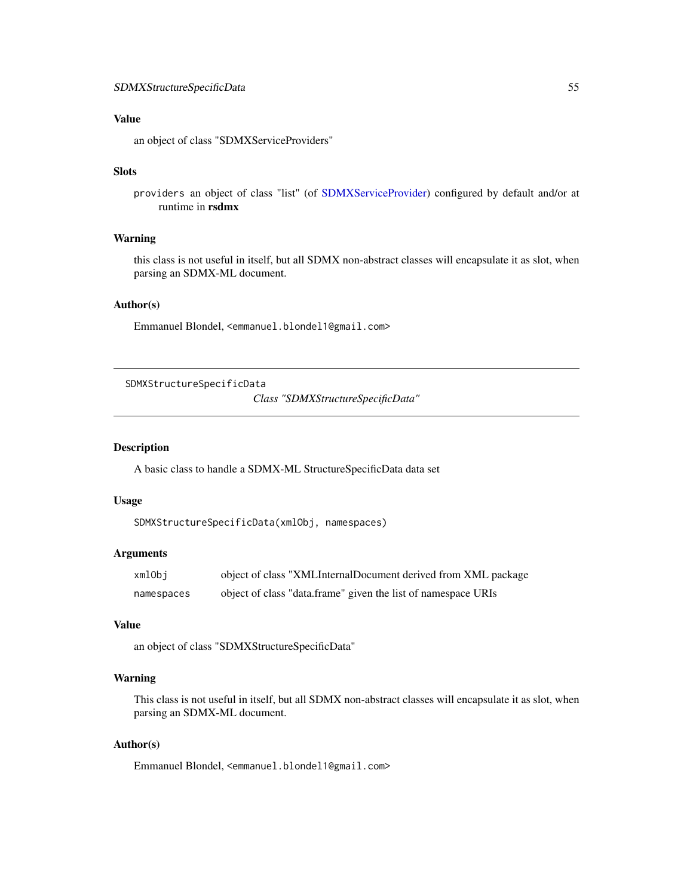### <span id="page-54-0"></span>Value

an object of class "SDMXServiceProviders"

### Slots

providers an object of class "list" (of [SDMXServiceProvider\)](#page-52-1) configured by default and/or at runtime in rsdmx

#### Warning

this class is not useful in itself, but all SDMX non-abstract classes will encapsulate it as slot, when parsing an SDMX-ML document.

### Author(s)

Emmanuel Blondel, <emmanuel.blondel1@gmail.com>

SDMXStructureSpecificData

*Class "SDMXStructureSpecificData"*

### Description

A basic class to handle a SDMX-ML StructureSpecificData data set

### Usage

```
SDMXStructureSpecificData(xmlObj, namespaces)
```
### Arguments

| xmlObi     | object of class "XMLInternalDocument derived from XML package |
|------------|---------------------------------------------------------------|
| namespaces | object of class "data.frame" given the list of namespace URIs |

### Value

an object of class "SDMXStructureSpecificData"

### Warning

This class is not useful in itself, but all SDMX non-abstract classes will encapsulate it as slot, when parsing an SDMX-ML document.

### Author(s)

Emmanuel Blondel, <emmanuel.blondel1@gmail.com>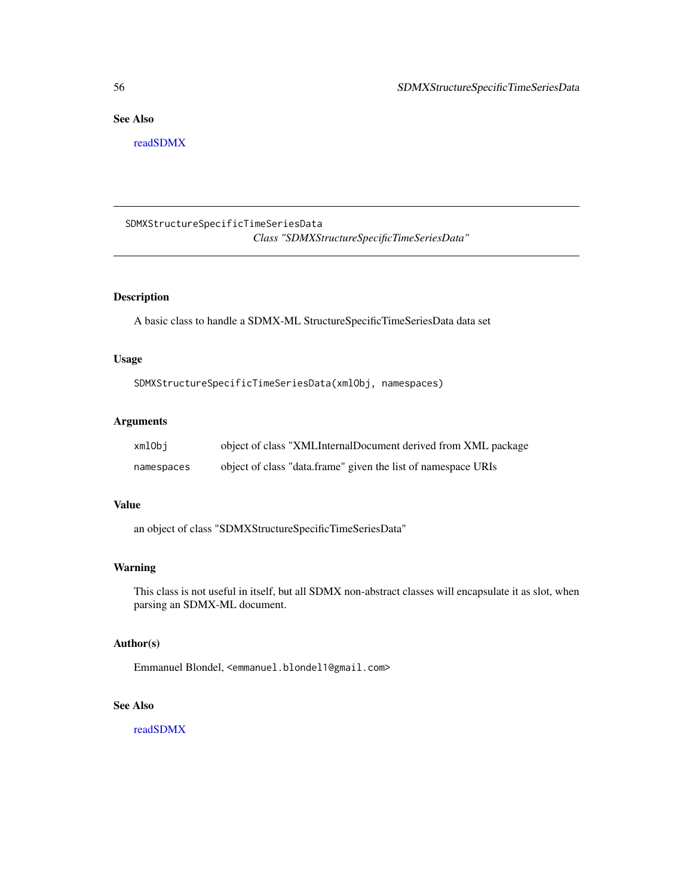### <span id="page-55-0"></span>See Also

[readSDMX](#page-11-1)

SDMXStructureSpecificTimeSeriesData *Class "SDMXStructureSpecificTimeSeriesData"*

### Description

A basic class to handle a SDMX-ML StructureSpecificTimeSeriesData data set

#### Usage

SDMXStructureSpecificTimeSeriesData(xmlObj, namespaces)

#### Arguments

| xmlObi     | object of class "XMLInternalDocument derived from XML package |
|------------|---------------------------------------------------------------|
| namespaces | object of class "data.frame" given the list of namespace URIs |

#### Value

an object of class "SDMXStructureSpecificTimeSeriesData"

#### Warning

This class is not useful in itself, but all SDMX non-abstract classes will encapsulate it as slot, when parsing an SDMX-ML document.

### Author(s)

Emmanuel Blondel, <emmanuel.blondel1@gmail.com>

### See Also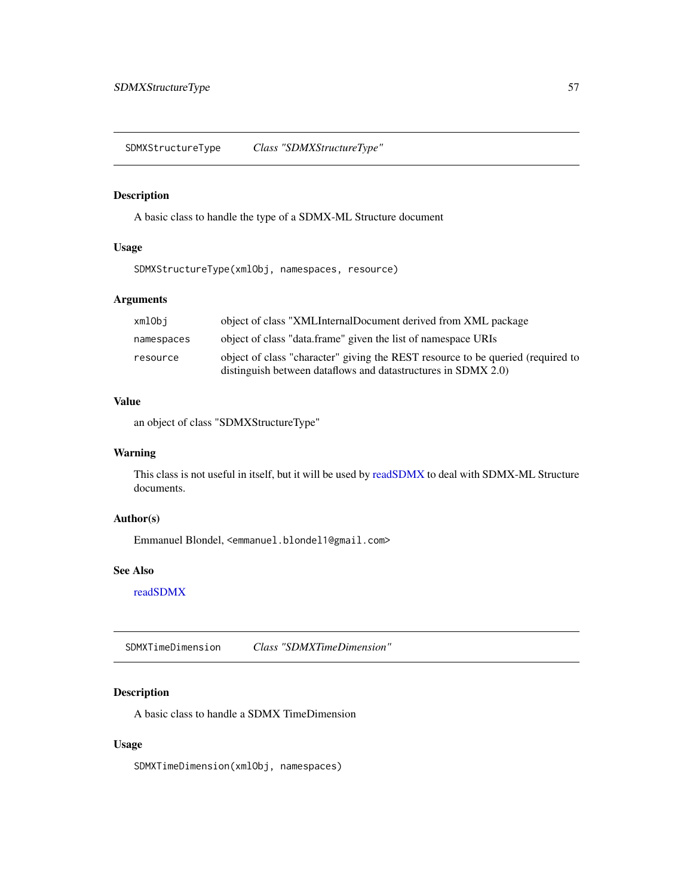<span id="page-56-0"></span>SDMXStructureType *Class "SDMXStructureType"*

### <span id="page-56-1"></span>Description

A basic class to handle the type of a SDMX-ML Structure document

### Usage

SDMXStructureType(xmlObj, namespaces, resource)

### Arguments

| xmlObi     | object of class "XMLInternalDocument derived from XML package                                                                                    |
|------------|--------------------------------------------------------------------------------------------------------------------------------------------------|
| namespaces | object of class "data.frame" given the list of namespace URIs                                                                                    |
| resource   | object of class "character" giving the REST resource to be queried (required to<br>distinguish between dataflows and datastructures in SDMX 2.0) |
|            |                                                                                                                                                  |

### Value

an object of class "SDMXStructureType"

### Warning

This class is not useful in itself, but it will be used by [readSDMX](#page-11-1) to deal with SDMX-ML Structure documents.

### Author(s)

Emmanuel Blondel, <emmanuel.blondel1@gmail.com>

#### See Also

[readSDMX](#page-11-1)

SDMXTimeDimension *Class "SDMXTimeDimension"*

### Description

A basic class to handle a SDMX TimeDimension

### Usage

SDMXTimeDimension(xmlObj, namespaces)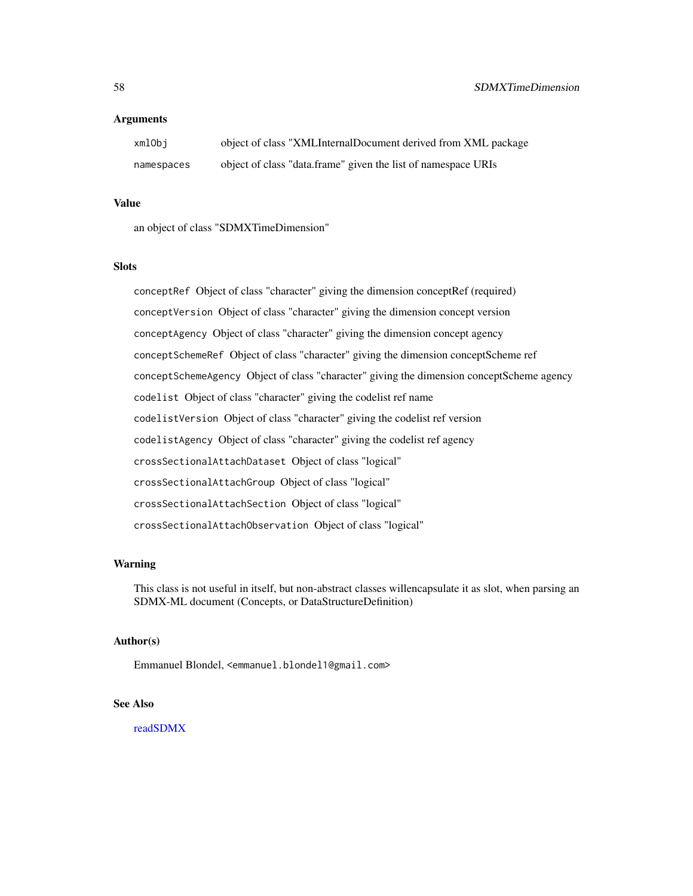#### **Arguments**

| xmlObi     | object of class "XMLInternalDocument derived from XML package |
|------------|---------------------------------------------------------------|
| namespaces | object of class "data.frame" given the list of namespace URIs |

#### Value

an object of class "SDMXTimeDimension"

### **Slots**

conceptRef Object of class "character" giving the dimension conceptRef (required) conceptVersion Object of class "character" giving the dimension concept version conceptAgency Object of class "character" giving the dimension concept agency conceptSchemeRef Object of class "character" giving the dimension conceptScheme ref conceptSchemeAgency Object of class "character" giving the dimension conceptScheme agency codelist Object of class "character" giving the codelist ref name codelistVersion Object of class "character" giving the codelist ref version codelistAgency Object of class "character" giving the codelist ref agency crossSectionalAttachDataset Object of class "logical" crossSectionalAttachGroup Object of class "logical" crossSectionalAttachSection Object of class "logical" crossSectionalAttachObservation Object of class "logical"

#### Warning

This class is not useful in itself, but non-abstract classes willencapsulate it as slot, when parsing an SDMX-ML document (Concepts, or DataStructureDefinition)

#### Author(s)

Emmanuel Blondel, <emmanuel.blondel1@gmail.com>

### See Also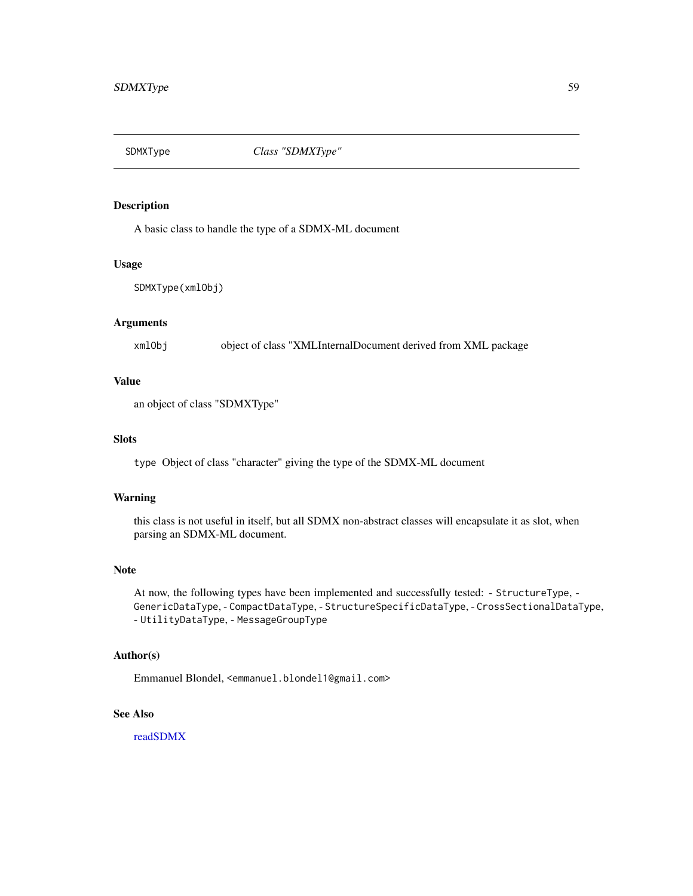<span id="page-58-0"></span>

### <span id="page-58-1"></span>Description

A basic class to handle the type of a SDMX-ML document

#### Usage

SDMXType(xmlObj)

### Arguments

xmlObj object of class "XMLInternalDocument derived from XML package

### Value

an object of class "SDMXType"

#### **Slots**

type Object of class "character" giving the type of the SDMX-ML document

### Warning

this class is not useful in itself, but all SDMX non-abstract classes will encapsulate it as slot, when parsing an SDMX-ML document.

### Note

At now, the following types have been implemented and successfully tested: - StructureType, - GenericDataType, - CompactDataType, - StructureSpecificDataType, - CrossSectionalDataType, - UtilityDataType, - MessageGroupType

### Author(s)

Emmanuel Blondel, <emmanuel.blondel1@gmail.com>

#### See Also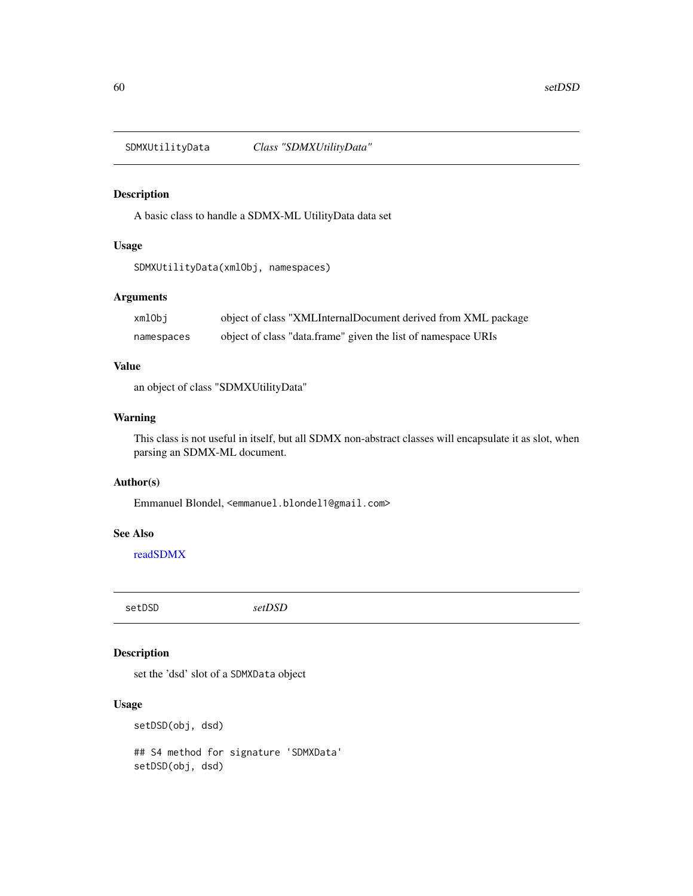<span id="page-59-0"></span>SDMXUtilityData *Class "SDMXUtilityData"*

### Description

A basic class to handle a SDMX-ML UtilityData data set

## Usage

SDMXUtilityData(xmlObj, namespaces)

### Arguments

| xmlObi     | object of class "XMLInternalDocument derived from XML package |
|------------|---------------------------------------------------------------|
| namespaces | object of class "data.frame" given the list of namespace URIs |

### Value

an object of class "SDMXUtilityData"

### Warning

This class is not useful in itself, but all SDMX non-abstract classes will encapsulate it as slot, when parsing an SDMX-ML document.

### Author(s)

Emmanuel Blondel, <emmanuel.blondel1@gmail.com>

#### See Also

[readSDMX](#page-11-1)

setDSD *setDSD*

### Description

set the 'dsd' slot of a SDMXData object

### Usage

setDSD(obj, dsd)

## S4 method for signature 'SDMXData' setDSD(obj, dsd)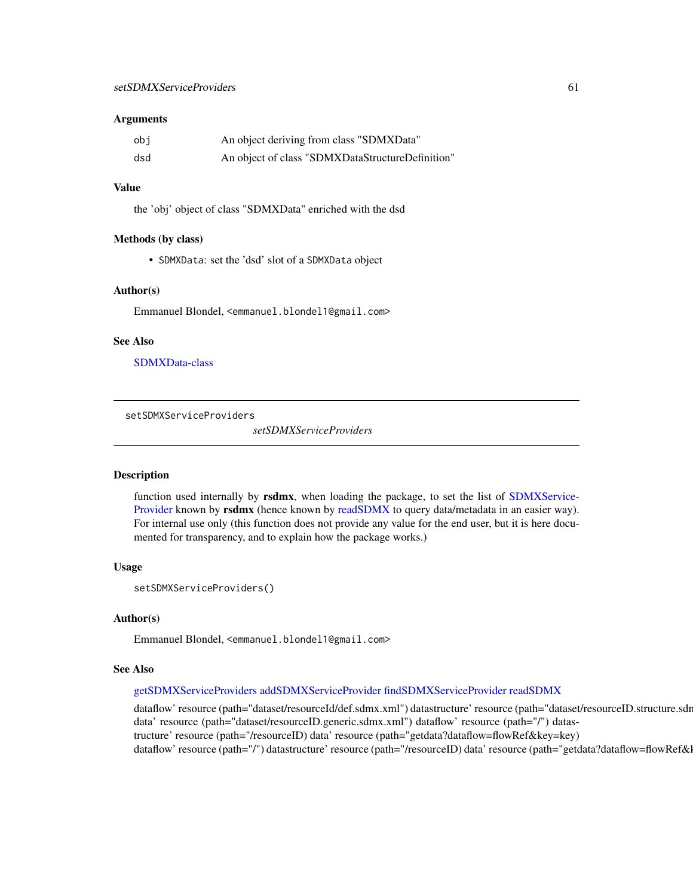#### <span id="page-60-0"></span>Arguments

| obi | An object deriving from class "SDMXData"         |
|-----|--------------------------------------------------|
| dsd | An object of class "SDMXDataStructureDefinition" |

#### Value

the 'obj' object of class "SDMXData" enriched with the dsd

#### Methods (by class)

• SDMXData: set the 'dsd' slot of a SDMXData object

#### Author(s)

Emmanuel Blondel, <emmanuel.blondel1@gmail.com>

### See Also

[SDMXData-class](#page-28-1)

setSDMXServiceProviders

*setSDMXServiceProviders*

#### Description

function used internally by rsdmx, when loading the package, to set the list of [SDMXService-](#page-52-1)[Provider](#page-52-1) known by rsdmx (hence known by [readSDMX](#page-11-1) to query data/metadata in an easier way). For internal use only (this function does not provide any value for the end user, but it is here documented for transparency, and to explain how the package works.)

#### Usage

```
setSDMXServiceProviders()
```
#### Author(s)

Emmanuel Blondel, <emmanuel.blondel1@gmail.com>

#### See Also

#### [getSDMXServiceProviders](#page-7-1) [addSDMXServiceProvider](#page-3-1) [findSDMXServiceProvider](#page-5-1) [readSDMX](#page-11-1)

dataflow' resource (path="dataset/resourceId/def.sdmx.xml") datastructure' resource (path="dataset/resourceID.structure.sdr data' resource (path="dataset/resourceID.generic.sdmx.xml") dataflow' resource (path="/") datastructure' resource (path="/resourceID) data' resource (path="getdata?dataflow=flowRef&key=key) dataflow' resource (path="/") datastructure' resource (path="/resourceID) data' resource (path="getdata?dataflow=flowRef&l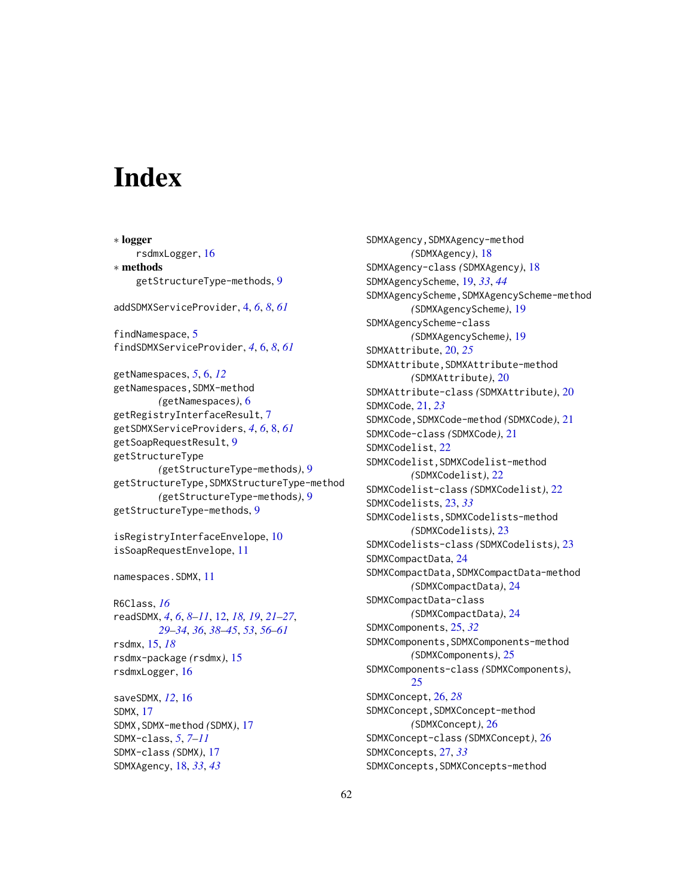# <span id="page-61-0"></span>**Index**

∗ logger rsdmxLogger, [16](#page-15-0) ∗ methods getStructureType-methods, [9](#page-8-0) addSDMXServiceProvider, [4,](#page-3-0) *[6](#page-5-0)*, *[8](#page-7-0)*, *[61](#page-60-0)* findNamespace, [5](#page-4-0) findSDMXServiceProvider, *[4](#page-3-0)*, [6,](#page-5-0) *[8](#page-7-0)*, *[61](#page-60-0)* getNamespaces, *[5](#page-4-0)*, [6,](#page-5-0) *[12](#page-11-0)* getNamespaces,SDMX-method *(*getNamespaces*)*, [6](#page-5-0) getRegistryInterfaceResult, [7](#page-6-0) getSDMXServiceProviders, *[4](#page-3-0)*, *[6](#page-5-0)*, [8,](#page-7-0) *[61](#page-60-0)* getSoapRequestResult, [9](#page-8-0) getStructureType *(*getStructureType-methods*)*, [9](#page-8-0) getStructureType,SDMXStructureType-method *(*getStructureType-methods*)*, [9](#page-8-0) getStructureType-methods, [9](#page-8-0) isRegistryInterfaceEnvelope, [10](#page-9-0) isSoapRequestEnvelope, [11](#page-10-0) namespaces.SDMX, [11](#page-10-0) R6Class, *[16](#page-15-0)* readSDMX, *[4](#page-3-0)*, *[6](#page-5-0)*, *[8](#page-7-0)[–11](#page-10-0)*, [12,](#page-11-0) *[18,](#page-17-0) [19](#page-18-0)*, *[21–](#page-20-0)[27](#page-26-0)*, *[29](#page-28-0)[–34](#page-33-0)*, *[36](#page-35-0)*, *[38–](#page-37-0)[45](#page-44-0)*, *[53](#page-52-0)*, *[56–](#page-55-0)[61](#page-60-0)* rsdmx, [15,](#page-14-0) *[18](#page-17-0)* rsdmx-package *(*rsdmx*)*, [15](#page-14-0)

rsdmxLogger, [16](#page-15-0) saveSDMX, *[12](#page-11-0)*, [16](#page-15-0) SDMX, [17](#page-16-0) SDMX,SDMX-method *(*SDMX*)*, [17](#page-16-0) SDMX-class, *[5](#page-4-0)*, *[7](#page-6-0)[–11](#page-10-0)* SDMX-class *(*SDMX*)*, [17](#page-16-0)

SDMXAgency, [18,](#page-17-0) *[33](#page-32-0)*, *[43](#page-42-0)*

SDMXAgency,SDMXAgency-method *(*SDMXAgency*)*, [18](#page-17-0) SDMXAgency-class *(*SDMXAgency*)*, [18](#page-17-0) SDMXAgencyScheme, [19,](#page-18-0) *[33](#page-32-0)*, *[44](#page-43-0)* SDMXAgencyScheme,SDMXAgencyScheme-method *(*SDMXAgencyScheme*)*, [19](#page-18-0) SDMXAgencyScheme-class *(*SDMXAgencyScheme*)*, [19](#page-18-0) SDMXAttribute, [20,](#page-19-0) *[25](#page-24-0)* SDMXAttribute,SDMXAttribute-method *(*SDMXAttribute*)*, [20](#page-19-0) SDMXAttribute-class *(*SDMXAttribute*)*, [20](#page-19-0) SDMXCode, [21,](#page-20-0) *[23](#page-22-0)* SDMXCode,SDMXCode-method *(*SDMXCode*)*, [21](#page-20-0) SDMXCode-class *(*SDMXCode*)*, [21](#page-20-0) SDMXCodelist, [22](#page-21-0) SDMXCodelist,SDMXCodelist-method *(*SDMXCodelist*)*, [22](#page-21-0) SDMXCodelist-class *(*SDMXCodelist*)*, [22](#page-21-0) SDMXCodelists, [23,](#page-22-0) *[33](#page-32-0)* SDMXCodelists,SDMXCodelists-method *(*SDMXCodelists*)*, [23](#page-22-0) SDMXCodelists-class *(*SDMXCodelists*)*, [23](#page-22-0) SDMXCompactData, [24](#page-23-0) SDMXCompactData,SDMXCompactData-method *(*SDMXCompactData*)*, [24](#page-23-0) SDMXCompactData-class *(*SDMXCompactData*)*, [24](#page-23-0) SDMXComponents, [25,](#page-24-0) *[32](#page-31-0)* SDMXComponents, SDMXComponents-method *(*SDMXComponents*)*, [25](#page-24-0) SDMXComponents-class *(*SDMXComponents*)*, [25](#page-24-0) SDMXConcept, [26,](#page-25-0) *[28](#page-27-0)* SDMXConcept,SDMXConcept-method *(*SDMXConcept*)*, [26](#page-25-0) SDMXConcept-class *(*SDMXConcept*)*, [26](#page-25-0) SDMXConcepts, [27,](#page-26-0) *[33](#page-32-0)* SDMXConcepts,SDMXConcepts-method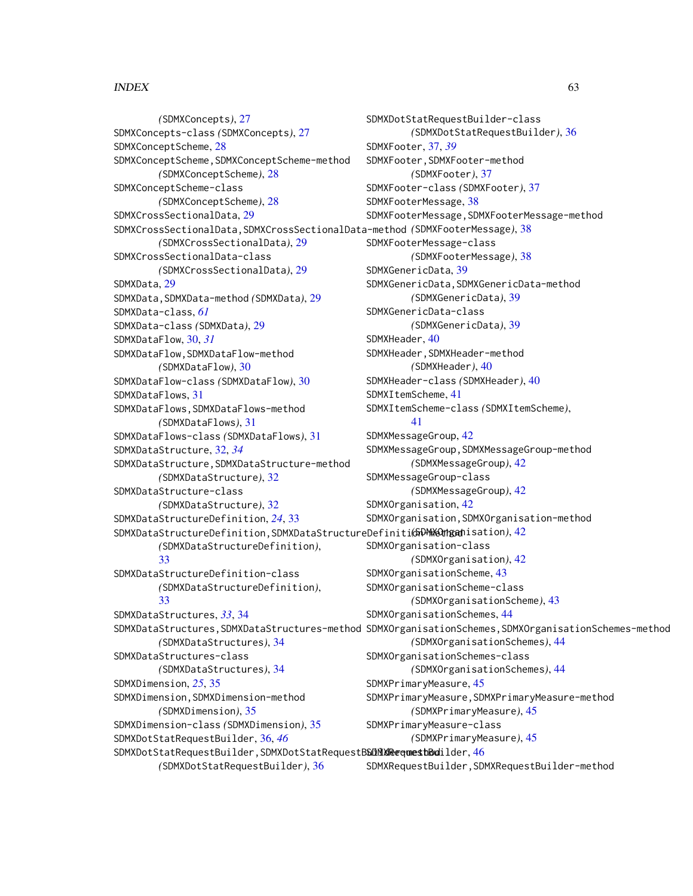#### $I<sub>N</sub>DEX$  63

*(*SDMXConcepts*)*, [27](#page-26-0) SDMXConcepts-class *(*SDMXConcepts*)*, [27](#page-26-0) SDMXConceptScheme, [28](#page-27-0) SDMXConceptScheme,SDMXConceptScheme-method *(*SDMXConceptScheme*)*, [28](#page-27-0) SDMXConceptScheme-class *(*SDMXConceptScheme*)*, [28](#page-27-0) SDMXCrossSectionalData, [29](#page-28-0) SDMXCrossSectionalData,SDMXCrossSectionalData-method *(*SDMXFooterMessage*)*, [38](#page-37-0) *(*SDMXCrossSectionalData*)*, [29](#page-28-0) SDMXCrossSectionalData-class *(*SDMXCrossSectionalData*)*, [29](#page-28-0) SDMXData, [29](#page-28-0) SDMXData,SDMXData-method *(*SDMXData*)*, [29](#page-28-0) SDMXData-class, *[61](#page-60-0)* SDMXData-class *(*SDMXData*)*, [29](#page-28-0) SDMXDataFlow, [30,](#page-29-0) *[31](#page-30-0)* SDMXDataFlow,SDMXDataFlow-method *(*SDMXDataFlow*)*, [30](#page-29-0) SDMXDataFlow-class *(*SDMXDataFlow*)*, [30](#page-29-0) SDMXDataFlows, [31](#page-30-0) SDMXDataFlows,SDMXDataFlows-method *(*SDMXDataFlows*)*, [31](#page-30-0) SDMXDataFlows-class *(*SDMXDataFlows*)*, [31](#page-30-0) SDMXDataStructure, [32,](#page-31-0) *[34](#page-33-0)* SDMXDataStructure,SDMXDataStructure-method *(*SDMXDataStructure*)*, [32](#page-31-0) SDMXDataStructure-class *(*SDMXDataStructure*)*, [32](#page-31-0) SDMXDataStructureDefinition, *[24](#page-23-0)*, [33](#page-32-0) SDMXDataStructureDefinition,SDMXDataStructureDefinition-method *(*SDMXOrganisation*)*, [42](#page-41-0) *(*SDMXDataStructureDefinition*)*, [33](#page-32-0) SDMXDataStructureDefinition-class *(*SDMXDataStructureDefinition*)*, [33](#page-32-0) SDMXDataStructures, *[33](#page-32-0)*, [34](#page-33-0) SDMXDataStructures,SDMXDataStructures-method SDMXOrganisationSchemes,SDMXOrganisationSchemes-method *(*SDMXDataStructures*)*, [34](#page-33-0) SDMXDataStructures-class *(*SDMXDataStructures*)*, [34](#page-33-0) SDMXDimension, *[25](#page-24-0)*, [35](#page-34-0) SDMXDimension,SDMXDimension-method *(*SDMXDimension*)*, [35](#page-34-0) SDMXDimension-class *(*SDMXDimension*)*, [35](#page-34-0) SDMXDotStatRequestBuilder, [36,](#page-35-0) *[46](#page-45-0)* SDMXDotStatRequestBuilder, SDMXDotStatRequestBSDMXRequestBodilder, [46](#page-45-0) SDMXDotStatRequestBuilder-class *(*SDMXDotStatRequestBuilder*)*, [36](#page-35-0) SDMXFooter, [37,](#page-36-0) *[39](#page-38-0)* SDMXFooter,SDMXFooter-method *(*SDMXFooter*)*, [37](#page-36-0) SDMXFooter-class *(*SDMXFooter*)*, [37](#page-36-0) SDMXFooterMessage, [38](#page-37-0) SDMXFooterMessage,SDMXFooterMessage-method SDMXFooterMessage-class *(*SDMXFooterMessage*)*, [38](#page-37-0) SDMXGenericData, [39](#page-38-0) SDMXGenericData,SDMXGenericData-method *(*SDMXGenericData*)*, [39](#page-38-0) SDMXGenericData-class *(*SDMXGenericData*)*, [39](#page-38-0) SDMXHeader, [40](#page-39-0) SDMXHeader,SDMXHeader-method *(*SDMXHeader*)*, [40](#page-39-0) SDMXHeader-class *(*SDMXHeader*)*, [40](#page-39-0) SDMXItemScheme, [41](#page-40-0) SDMXItemScheme-class *(*SDMXItemScheme*)*, [41](#page-40-0) SDMXMessageGroup, [42](#page-41-0) SDMXMessageGroup,SDMXMessageGroup-method *(*SDMXMessageGroup*)*, [42](#page-41-0) SDMXMessageGroup-class *(*SDMXMessageGroup*)*, [42](#page-41-0) SDMXOrganisation, [42](#page-41-0) SDMXOrganisation,SDMXOrganisation-method SDMXOrganisation-class *(*SDMXOrganisation*)*, [42](#page-41-0) SDMXOrganisationScheme, [43](#page-42-0) SDMXOrganisationScheme-class *(*SDMXOrganisationScheme*)*, [43](#page-42-0) SDMXOrganisationSchemes, [44](#page-43-0) *(*SDMXOrganisationSchemes*)*, [44](#page-43-0) SDMXOrganisationSchemes-class *(*SDMXOrganisationSchemes*)*, [44](#page-43-0) SDMXPrimaryMeasure, [45](#page-44-0) SDMXPrimaryMeasure,SDMXPrimaryMeasure-method *(*SDMXPrimaryMeasure*)*, [45](#page-44-0) SDMXPrimaryMeasure-class *(*SDMXPrimaryMeasure*)*, [45](#page-44-0)

*(*SDMXDotStatRequestBuilder*)*, [36](#page-35-0)

SDMXRequestBuilder,SDMXRequestBuilder-method